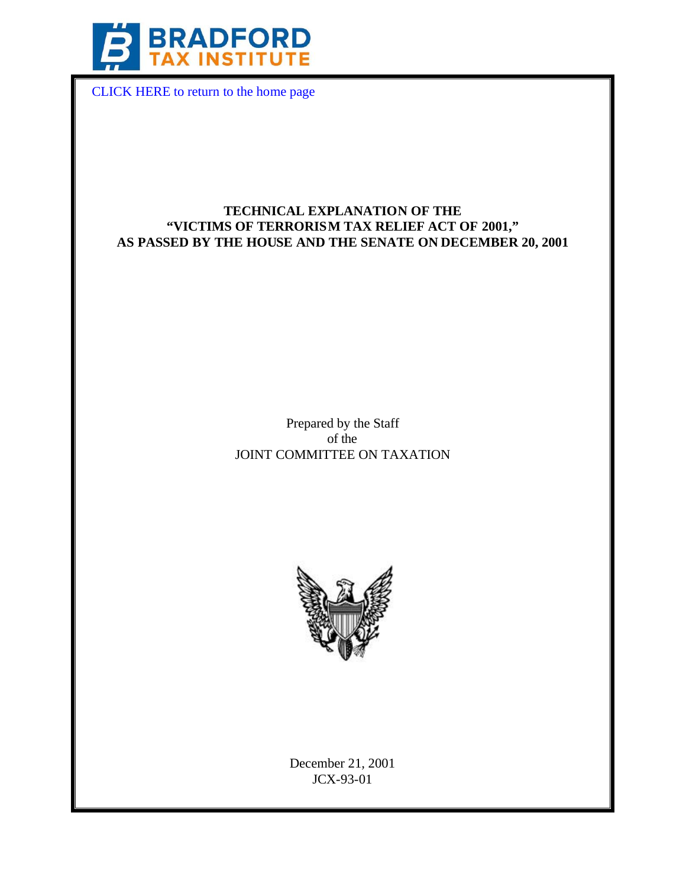

[CLICK HERE to return to the home page](http://www.bradfordtaxinstitute.com) 

## **TECHNICAL EXPLANATION OF THE "VICTIMS OF TERRORISM TAX RELIEF ACT OF 2001," AS PASSED BY THE HOUSE AND THE SENATE ON DECEMBER 20, 2001**

Prepared by the Staff of the JOINT COMMITTEE ON TAXATION



December 21*,* 2001 JCX-93-01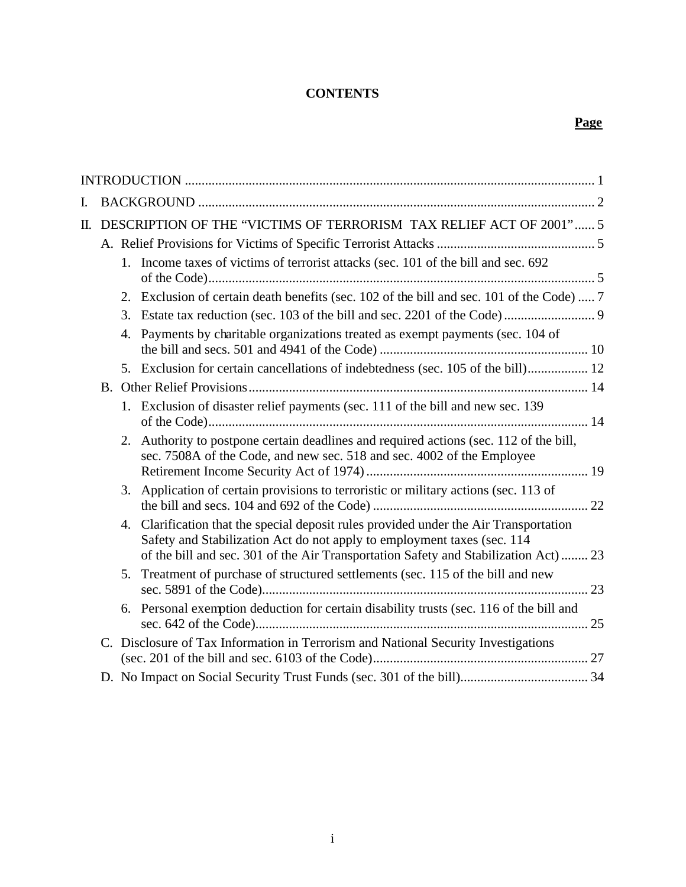# **CONTENTS**

| I. |  |    |                                                                                                                                                                                                                                                       |  |
|----|--|----|-------------------------------------------------------------------------------------------------------------------------------------------------------------------------------------------------------------------------------------------------------|--|
| Π. |  |    | DESCRIPTION OF THE "VICTIMS OF TERRORISM TAX RELIEF ACT OF 2001" 5                                                                                                                                                                                    |  |
|    |  |    |                                                                                                                                                                                                                                                       |  |
|    |  |    | 1. Income taxes of victims of terrorist attacks (sec. 101 of the bill and sec. 692                                                                                                                                                                    |  |
|    |  | 2. | Exclusion of certain death benefits (sec. 102 of the bill and sec. 101 of the Code)  7                                                                                                                                                                |  |
|    |  | 3. |                                                                                                                                                                                                                                                       |  |
|    |  | 4. | Payments by charitable organizations treated as exempt payments (sec. 104 of                                                                                                                                                                          |  |
|    |  | 5. |                                                                                                                                                                                                                                                       |  |
|    |  |    |                                                                                                                                                                                                                                                       |  |
|    |  |    | 1. Exclusion of disaster relief payments (sec. 111 of the bill and new sec. 139                                                                                                                                                                       |  |
|    |  | 2. | Authority to postpone certain deadlines and required actions (sec. 112 of the bill,<br>sec. 7508A of the Code, and new sec. 518 and sec. 4002 of the Employee                                                                                         |  |
|    |  | 3. | Application of certain provisions to terroristic or military actions (sec. 113 of                                                                                                                                                                     |  |
|    |  | 4. | Clarification that the special deposit rules provided under the Air Transportation<br>Safety and Stabilization Act do not apply to employment taxes (sec. 114<br>of the bill and sec. 301 of the Air Transportation Safety and Stabilization Act)  23 |  |
|    |  | 5. | Treatment of purchase of structured settlements (sec. 115 of the bill and new<br>23                                                                                                                                                                   |  |
|    |  | 6. | Personal exemption deduction for certain disability trusts (sec. 116 of the bill and                                                                                                                                                                  |  |
|    |  |    | C. Disclosure of Tax Information in Terrorism and National Security Investigations                                                                                                                                                                    |  |
|    |  |    |                                                                                                                                                                                                                                                       |  |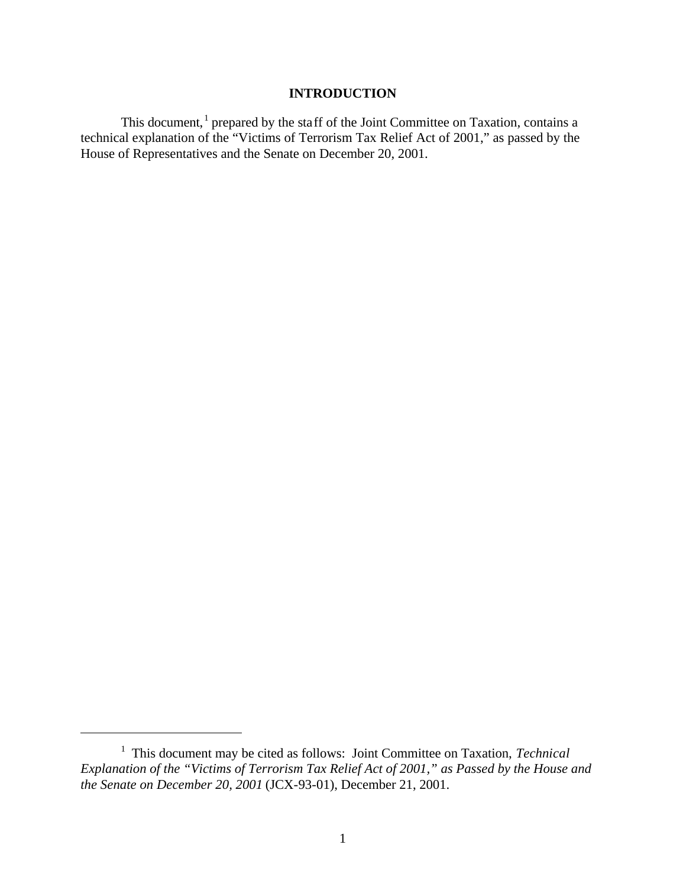## **INTRODUCTION**

This document,<sup>1</sup> prepared by the staff of the Joint Committee on Taxation, contains a technical explanation of the "Victims of Terrorism Tax Relief Act of 2001," as passed by the House of Representatives and the Senate on December 20, 2001.

<sup>&</sup>lt;sup>1</sup> This document may be cited as follows: Joint Committee on Taxation, *Technical Explanation of the "Victims of Terrorism Tax Relief Act of 2001," as Passed by the House and the Senate on December 20, 2001* (JCX-93-01), December 21, 2001.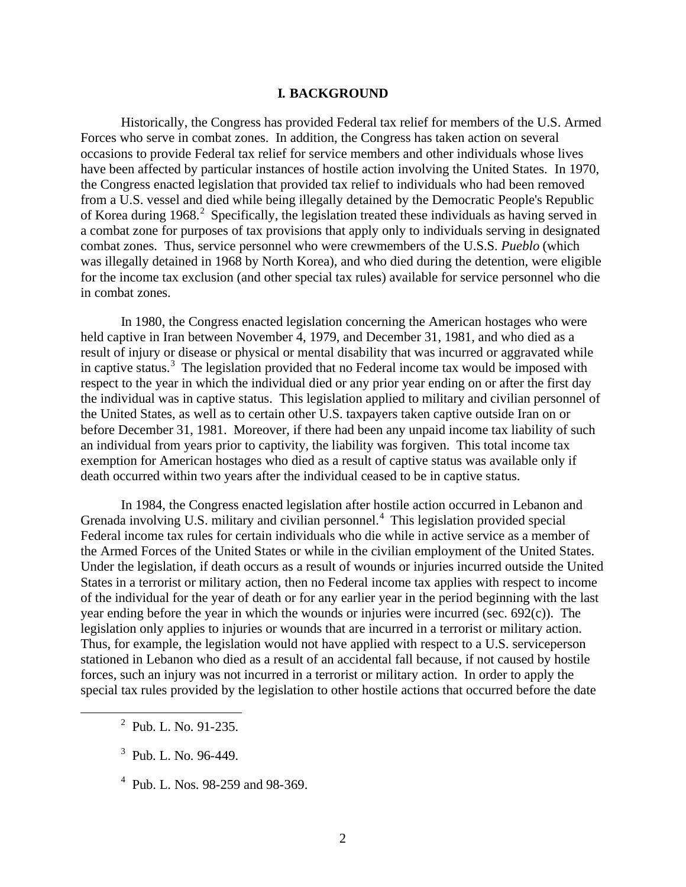### **I. BACKGROUND**

Historically, the Congress has provided Federal tax relief for members of the U.S. Armed Forces who serve in combat zones. In addition, the Congress has taken action on several occasions to provide Federal tax relief for service members and other individuals whose lives have been affected by particular instances of hostile action involving the United States. In 1970, the Congress enacted legislation that provided tax relief to individuals who had been removed from a U.S. vessel and died while being illegally detained by the Democratic People's Republic of Korea during 1968.<sup>2</sup> Specifically, the legislation treated these individuals as having served in a combat zone for purposes of tax provisions that apply only to individuals serving in designated combat zones. Thus, service personnel who were crewmembers of the U.S.S. *Pueblo* (which was illegally detained in 1968 by North Korea), and who died during the detention, were eligible for the income tax exclusion (and other special tax rules) available for service personnel who die in combat zones.

In 1980, the Congress enacted legislation concerning the American hostages who were held captive in Iran between November 4, 1979, and December 31, 1981, and who died as a result of injury or disease or physical or mental disability that was incurred or aggravated while in captive status.<sup>3</sup> The legislation provided that no Federal income tax would be imposed with respect to the year in which the individual died or any prior year ending on or after the first day the individual was in captive status. This legislation applied to military and civilian personnel of the United States, as well as to certain other U.S. taxpayers taken captive outside Iran on or before December 31, 1981. Moreover, if there had been any unpaid income tax liability of such an individual from years prior to captivity, the liability was forgiven. This total income tax exemption for American hostages who died as a result of captive status was available only if death occurred within two years after the individual ceased to be in captive status.

In 1984, the Congress enacted legislation after hostile action occurred in Lebanon and Grenada involving U.S. military and civilian personnel.<sup>4</sup> This legislation provided special Federal income tax rules for certain individuals who die while in active service as a member of the Armed Forces of the United States or while in the civilian employment of the United States. Under the legislation, if death occurs as a result of wounds or injuries incurred outside the United States in a terrorist or military action, then no Federal income tax applies with respect to income of the individual for the year of death or for any earlier year in the period beginning with the last year ending before the year in which the wounds or injuries were incurred (sec. 692(c)). The legislation only applies to injuries or wounds that are incurred in a terrorist or military action. Thus, for example, the legislation would not have applied with respect to a U.S. serviceperson stationed in Lebanon who died as a result of an accidental fall because, if not caused by hostile forces, such an injury was not incurred in a terrorist or military action. In order to apply the special tax rules provided by the legislation to other hostile actions that occurred before the date

 $2$  Pub. L. No. 91-235.

<sup>&</sup>lt;sup>3</sup> Pub. L. No. 96-449.

<sup>4</sup> Pub. L. Nos. 98-259 and 98-369.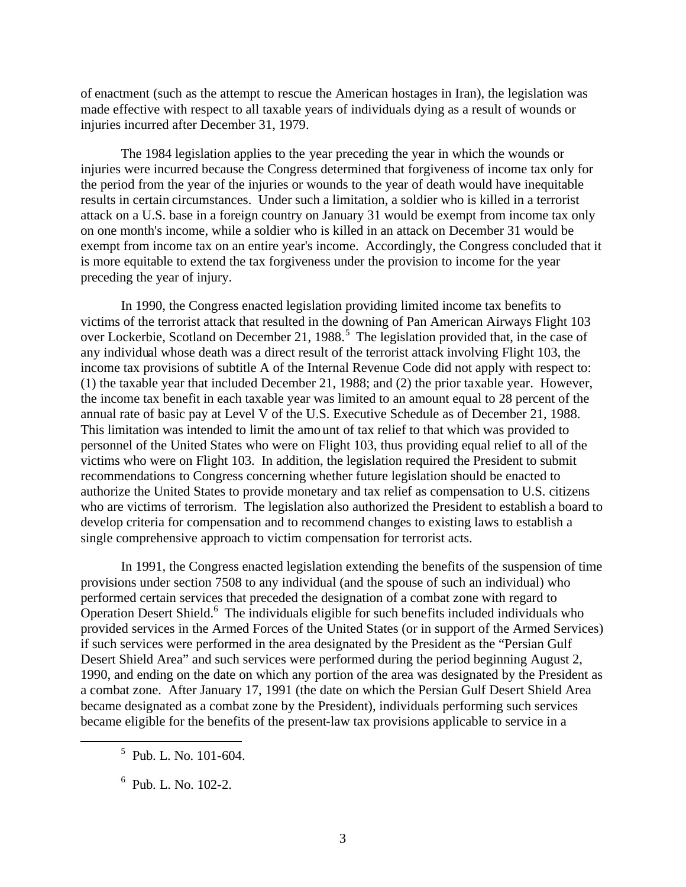of enactment (such as the attempt to rescue the American hostages in Iran), the legislation was made effective with respect to all taxable years of individuals dying as a result of wounds or injuries incurred after December 31, 1979.

The 1984 legislation applies to the year preceding the year in which the wounds or injuries were incurred because the Congress determined that forgiveness of income tax only for the period from the year of the injuries or wounds to the year of death would have inequitable results in certain circumstances. Under such a limitation, a soldier who is killed in a terrorist attack on a U.S. base in a foreign country on January 31 would be exempt from income tax only on one month's income, while a soldier who is killed in an attack on December 31 would be exempt from income tax on an entire year's income. Accordingly, the Congress concluded that it is more equitable to extend the tax forgiveness under the provision to income for the year preceding the year of injury.

In 1990, the Congress enacted legislation providing limited income tax benefits to victims of the terrorist attack that resulted in the downing of Pan American Airways Flight 103 over Lockerbie, Scotland on December 21, 1988.<sup>5</sup> The legislation provided that, in the case of any individual whose death was a direct result of the terrorist attack involving Flight 103, the income tax provisions of subtitle A of the Internal Revenue Code did not apply with respect to: (1) the taxable year that included December 21, 1988; and (2) the prior taxable year. However, the income tax benefit in each taxable year was limited to an amount equal to 28 percent of the annual rate of basic pay at Level V of the U.S. Executive Schedule as of December 21, 1988. This limitation was intended to limit the amo unt of tax relief to that which was provided to personnel of the United States who were on Flight 103, thus providing equal relief to all of the victims who were on Flight 103. In addition, the legislation required the President to submit recommendations to Congress concerning whether future legislation should be enacted to authorize the United States to provide monetary and tax relief as compensation to U.S. citizens who are victims of terrorism. The legislation also authorized the President to establish a board to develop criteria for compensation and to recommend changes to existing laws to establish a single comprehensive approach to victim compensation for terrorist acts.

In 1991, the Congress enacted legislation extending the benefits of the suspension of time provisions under section 7508 to any individual (and the spouse of such an individual) who performed certain services that preceded the designation of a combat zone with regard to Operation Desert Shield.<sup>6</sup> The individuals eligible for such benefits included individuals who provided services in the Armed Forces of the United States (or in support of the Armed Services) if such services were performed in the area designated by the President as the "Persian Gulf Desert Shield Area" and such services were performed during the period beginning August 2, 1990, and ending on the date on which any portion of the area was designated by the President as a combat zone. After January 17, 1991 (the date on which the Persian Gulf Desert Shield Area became designated as a combat zone by the President), individuals performing such services became eligible for the benefits of the present-law tax provisions applicable to service in a

<sup>&</sup>lt;sup>5</sup> Pub. L. No. 101-604.

<sup>6</sup> Pub. L. No. 102-2.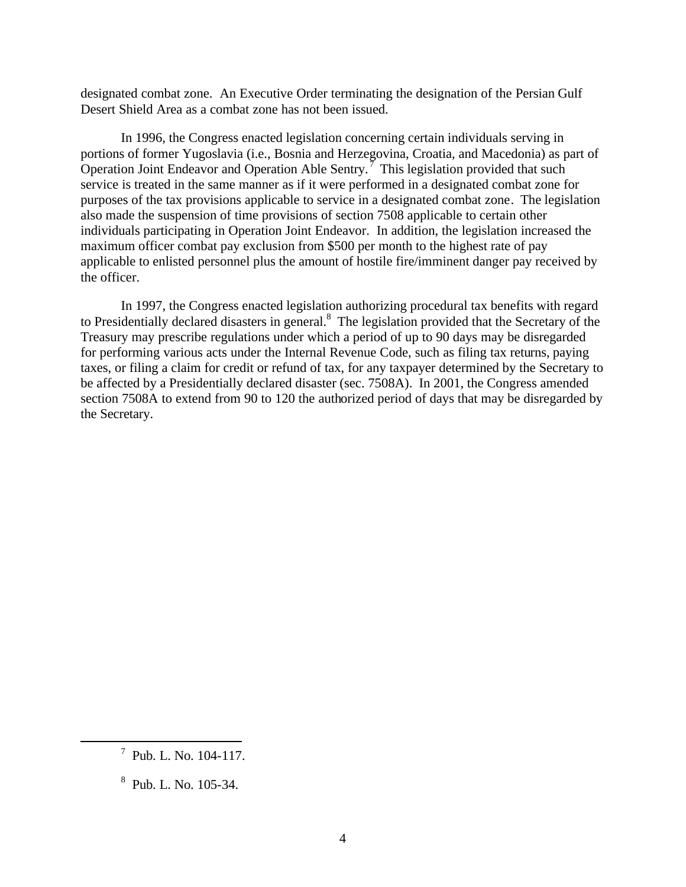designated combat zone. An Executive Order terminating the designation of the Persian Gulf Desert Shield Area as a combat zone has not been issued.

In 1996, the Congress enacted legislation concerning certain individuals serving in portions of former Yugoslavia (i.e., Bosnia and Herzegovina, Croatia, and Macedonia) as part of Operation Joint Endeavor and Operation Able Sentry.<sup>7</sup> This legislation provided that such service is treated in the same manner as if it were performed in a designated combat zone for purposes of the tax provisions applicable to service in a designated combat zone. The legislation also made the suspension of time provisions of section 7508 applicable to certain other individuals participating in Operation Joint Endeavor. In addition, the legislation increased the maximum officer combat pay exclusion from \$500 per month to the highest rate of pay applicable to enlisted personnel plus the amount of hostile fire/imminent danger pay received by the officer.

In 1997, the Congress enacted legislation authorizing procedural tax benefits with regard to Presidentially declared disasters in general.<sup>8</sup> The legislation provided that the Secretary of the Treasury may prescribe regulations under which a period of up to 90 days may be disregarded for performing various acts under the Internal Revenue Code, such as filing tax returns, paying taxes, or filing a claim for credit or refund of tax, for any taxpayer determined by the Secretary to be affected by a Presidentially declared disaster (sec. 7508A). In 2001, the Congress amended section 7508A to extend from 90 to 120 the authorized period of days that may be disregarded by the Secretary.

1

 $7$  Pub. L. No. 104-117.

<sup>8</sup> Pub. L. No. 105-34.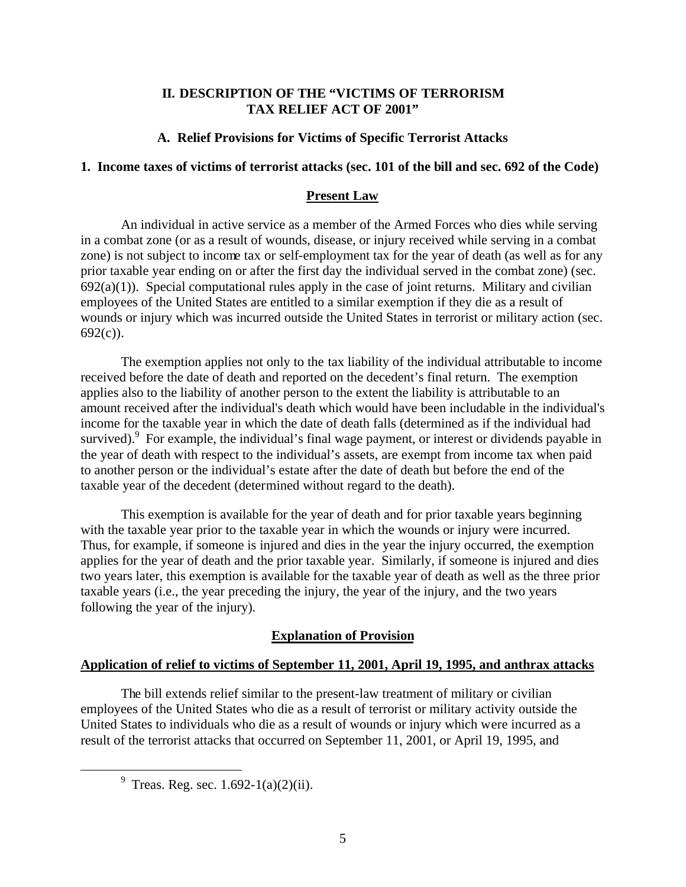## **II. DESCRIPTION OF THE "VICTIMS OF TERRORISM TAX RELIEF ACT OF 2001"**

## **A. Relief Provisions for Victims of Specific Terrorist Attacks**

## **1. Income taxes of victims of terrorist attacks (sec. 101 of the bill and sec. 692 of the Code)**

## **Present Law**

An individual in active service as a member of the Armed Forces who dies while serving in a combat zone (or as a result of wounds, disease, or injury received while serving in a combat zone) is not subject to income tax or self-employment tax for the year of death (as well as for any prior taxable year ending on or after the first day the individual served in the combat zone) (sec.  $692(a)(1)$ ). Special computational rules apply in the case of joint returns. Military and civilian employees of the United States are entitled to a similar exemption if they die as a result of wounds or injury which was incurred outside the United States in terrorist or military action (sec. 692(c)).

The exemption applies not only to the tax liability of the individual attributable to income received before the date of death and reported on the decedent's final return. The exemption applies also to the liability of another person to the extent the liability is attributable to an amount received after the individual's death which would have been includable in the individual's income for the taxable year in which the date of death falls (determined as if the individual had survived). For example, the individual's final wage payment, or interest or dividends payable in the year of death with respect to the individual's assets, are exempt from income tax when paid to another person or the individual's estate after the date of death but before the end of the taxable year of the decedent (determined without regard to the death).

This exemption is available for the year of death and for prior taxable years beginning with the taxable year prior to the taxable year in which the wounds or injury were incurred. Thus, for example, if someone is injured and dies in the year the injury occurred, the exemption applies for the year of death and the prior taxable year. Similarly, if someone is injured and dies two years later, this exemption is available for the taxable year of death as well as the three prior taxable years (i.e., the year preceding the injury, the year of the injury, and the two years following the year of the injury).

# **Explanation of Provision**

## **Application of relief to victims of September 11, 2001, April 19, 1995, and anthrax attacks**

The bill extends relief similar to the present-law treatment of military or civilian employees of the United States who die as a result of terrorist or military activity outside the United States to individuals who die as a result of wounds or injury which were incurred as a result of the terrorist attacks that occurred on September 11, 2001, or April 19, 1995, and

<sup>&</sup>lt;sup>9</sup> Treas. Reg. sec. 1.692-1(a)(2)(ii).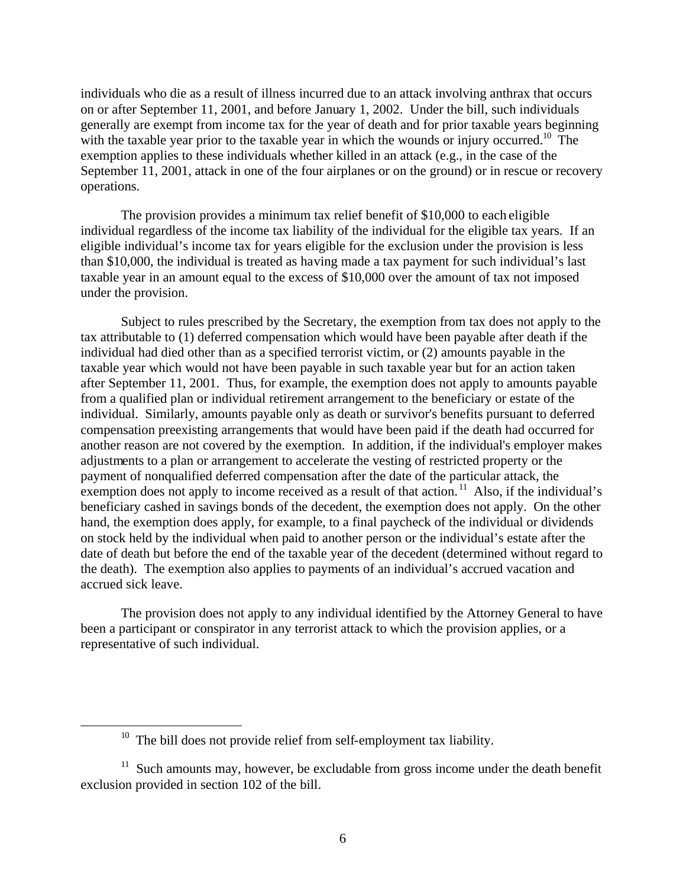individuals who die as a result of illness incurred due to an attack involving anthrax that occurs on or after September 11, 2001, and before January 1, 2002. Under the bill, such individuals generally are exempt from income tax for the year of death and for prior taxable years beginning with the taxable year prior to the taxable year in which the wounds or injury occurred.<sup>10</sup> The exemption applies to these individuals whether killed in an attack (e.g., in the case of the September 11, 2001, attack in one of the four airplanes or on the ground) or in rescue or recovery operations.

The provision provides a minimum tax relief benefit of \$10,000 to each eligible individual regardless of the income tax liability of the individual for the eligible tax years. If an eligible individual's income tax for years eligible for the exclusion under the provision is less than \$10,000, the individual is treated as having made a tax payment for such individual's last taxable year in an amount equal to the excess of \$10,000 over the amount of tax not imposed under the provision.

Subject to rules prescribed by the Secretary, the exemption from tax does not apply to the tax attributable to (1) deferred compensation which would have been payable after death if the individual had died other than as a specified terrorist victim, or (2) amounts payable in the taxable year which would not have been payable in such taxable year but for an action taken after September 11, 2001. Thus, for example, the exemption does not apply to amounts payable from a qualified plan or individual retirement arrangement to the beneficiary or estate of the individual. Similarly, amounts payable only as death or survivor's benefits pursuant to deferred compensation preexisting arrangements that would have been paid if the death had occurred for another reason are not covered by the exemption. In addition, if the individual's employer makes adjustments to a plan or arrangement to accelerate the vesting of restricted property or the payment of nonqualified deferred compensation after the date of the particular attack, the exemption does not apply to income received as a result of that action.<sup>11</sup> Also, if the individual's beneficiary cashed in savings bonds of the decedent, the exemption does not apply. On the other hand, the exemption does apply, for example, to a final paycheck of the individual or dividends on stock held by the individual when paid to another person or the individual's estate after the date of death but before the end of the taxable year of the decedent (determined without regard to the death). The exemption also applies to payments of an individual's accrued vacation and accrued sick leave.

The provision does not apply to any individual identified by the Attorney General to have been a participant or conspirator in any terrorist attack to which the provision applies, or a representative of such individual.

 $10$  The bill does not provide relief from self-employment tax liability.

 $11$  Such amounts may, however, be excludable from gross income under the death benefit exclusion provided in section 102 of the bill.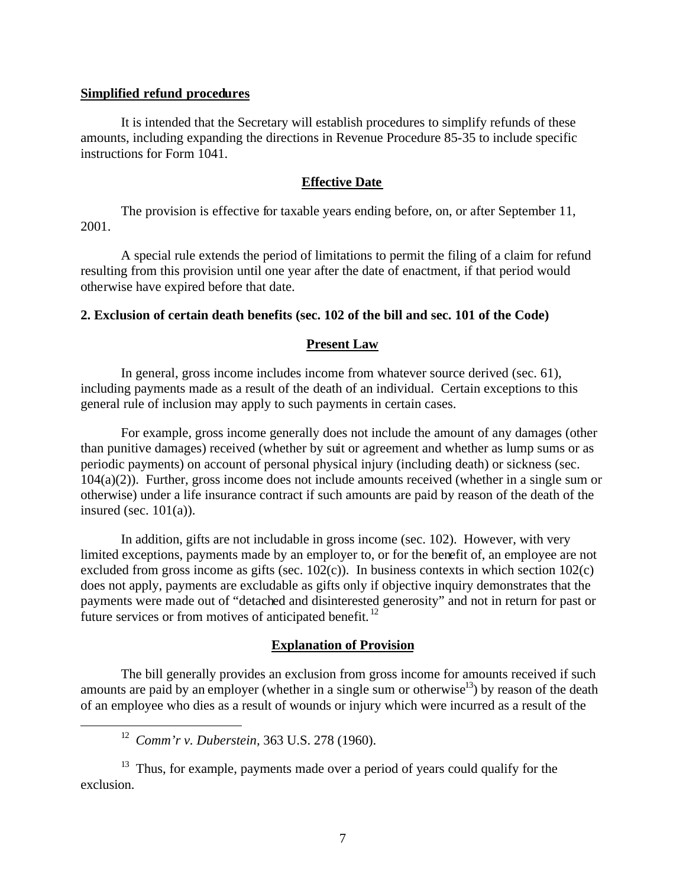#### **Simplified refund procedures**

It is intended that the Secretary will establish procedures to simplify refunds of these amounts, including expanding the directions in Revenue Procedure 85-35 to include specific instructions for Form 1041.

#### **Effective Date**

The provision is effective for taxable years ending before, on, or after September 11, 2001.

A special rule extends the period of limitations to permit the filing of a claim for refund resulting from this provision until one year after the date of enactment, if that period would otherwise have expired before that date.

### **2. Exclusion of certain death benefits (sec. 102 of the bill and sec. 101 of the Code)**

### **Present Law**

In general, gross income includes income from whatever source derived (sec. 61), including payments made as a result of the death of an individual. Certain exceptions to this general rule of inclusion may apply to such payments in certain cases.

For example, gross income generally does not include the amount of any damages (other than punitive damages) received (whether by suit or agreement and whether as lump sums or as periodic payments) on account of personal physical injury (including death) or sickness (sec. 104(a)(2)). Further, gross income does not include amounts received (whether in a single sum or otherwise) under a life insurance contract if such amounts are paid by reason of the death of the insured (sec.  $101(a)$ ).

In addition, gifts are not includable in gross income (sec. 102). However, with very limited exceptions, payments made by an employer to, or for the benefit of, an employee are not excluded from gross income as gifts (sec.  $102(c)$ ). In business contexts in which section  $102(c)$ does not apply, payments are excludable as gifts only if objective inquiry demonstrates that the payments were made out of "detached and disinterested generosity" and not in return for past or future services or from motives of anticipated benefit.<sup>12</sup>

### **Explanation of Provision**

The bill generally provides an exclusion from gross income for amounts received if such amounts are paid by an employer (whether in a single sum or otherwise<sup>13</sup>) by reason of the death of an employee who dies as a result of wounds or injury which were incurred as a result of the

12 *Comm'r v. Duberstein,* 363 U.S. 278 (1960).

 $\overline{a}$ 

<sup>13</sup> Thus, for example, payments made over a period of years could qualify for the exclusion.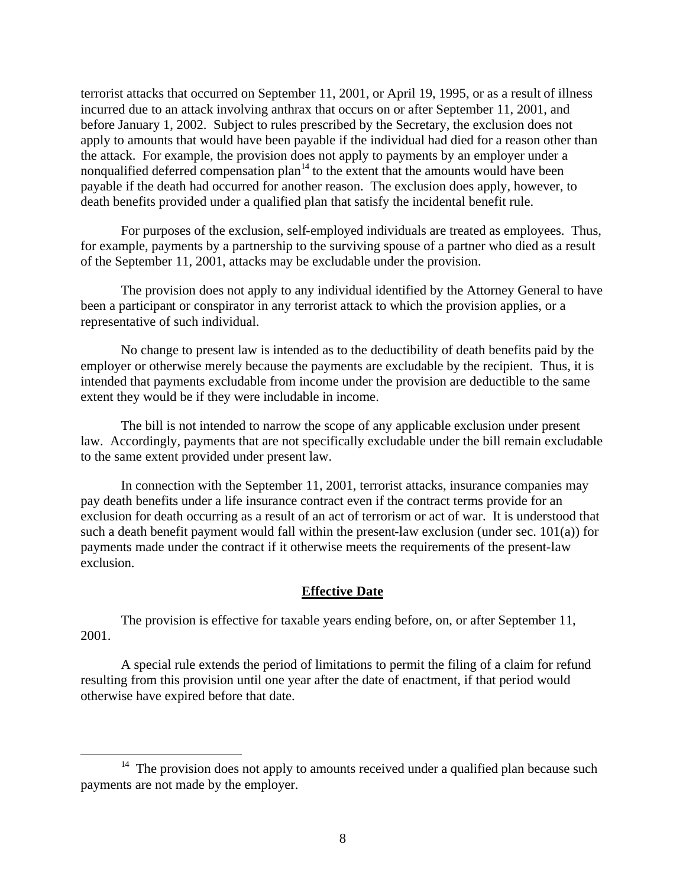terrorist attacks that occurred on September 11, 2001, or April 19, 1995, or as a result of illness incurred due to an attack involving anthrax that occurs on or after September 11, 2001, and before January 1, 2002. Subject to rules prescribed by the Secretary, the exclusion does not apply to amounts that would have been payable if the individual had died for a reason other than the attack. For example, the provision does not apply to payments by an employer under a nonqualified deferred compensation  $plan<sup>14</sup>$  to the extent that the amounts would have been payable if the death had occurred for another reason. The exclusion does apply, however, to death benefits provided under a qualified plan that satisfy the incidental benefit rule.

For purposes of the exclusion, self-employed individuals are treated as employees. Thus, for example, payments by a partnership to the surviving spouse of a partner who died as a result of the September 11, 2001, attacks may be excludable under the provision.

The provision does not apply to any individual identified by the Attorney General to have been a participant or conspirator in any terrorist attack to which the provision applies, or a representative of such individual.

No change to present law is intended as to the deductibility of death benefits paid by the employer or otherwise merely because the payments are excludable by the recipient.Thus, it is intended that payments excludable from income under the provision are deductible to the same extent they would be if they were includable in income.

The bill is not intended to narrow the scope of any applicable exclusion under present law. Accordingly, payments that are not specifically excludable under the bill remain excludable to the same extent provided under present law.

In connection with the September 11, 2001, terrorist attacks, insurance companies may pay death benefits under a life insurance contract even if the contract terms provide for an exclusion for death occurring as a result of an act of terrorism or act of war. It is understood that such a death benefit payment would fall within the present-law exclusion (under sec.  $101(a)$ ) for payments made under the contract if it otherwise meets the requirements of the present-law exclusion.

### **Effective Date**

The provision is effective for taxable years ending before, on, or after September 11, 2001.

A special rule extends the period of limitations to permit the filing of a claim for refund resulting from this provision until one year after the date of enactment, if that period would otherwise have expired before that date.

 $14$  The provision does not apply to amounts received under a qualified plan because such payments are not made by the employer.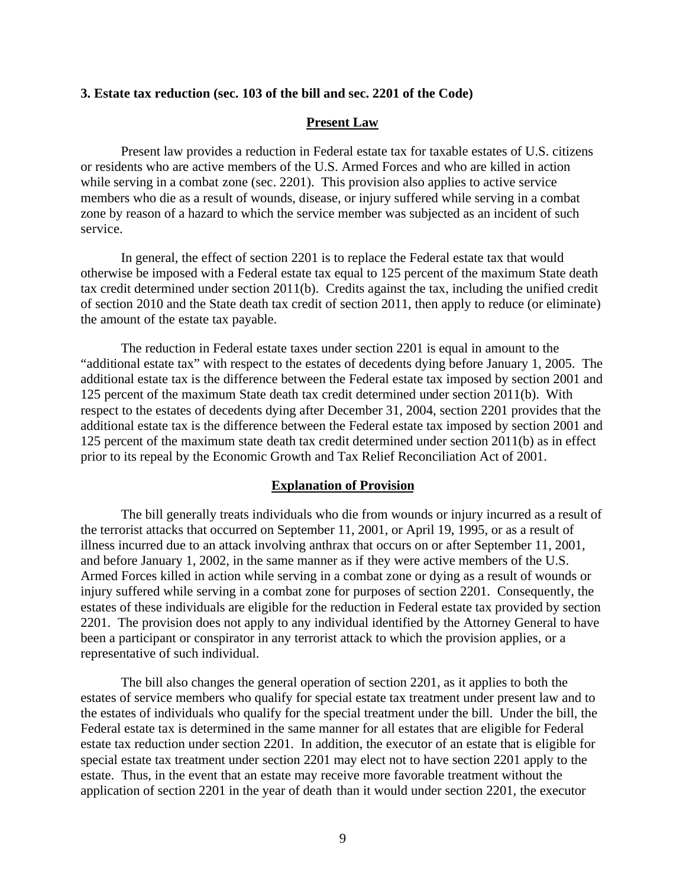#### **3. Estate tax reduction (sec. 103 of the bill and sec. 2201 of the Code)**

#### **Present Law**

Present law provides a reduction in Federal estate tax for taxable estates of U.S. citizens or residents who are active members of the U.S. Armed Forces and who are killed in action while serving in a combat zone (sec. 2201). This provision also applies to active service members who die as a result of wounds, disease, or injury suffered while serving in a combat zone by reason of a hazard to which the service member was subjected as an incident of such service.

In general, the effect of section 2201 is to replace the Federal estate tax that would otherwise be imposed with a Federal estate tax equal to 125 percent of the maximum State death tax credit determined under section 2011(b). Credits against the tax, including the unified credit of section 2010 and the State death tax credit of section 2011, then apply to reduce (or eliminate) the amount of the estate tax payable.

The reduction in Federal estate taxes under section 2201 is equal in amount to the "additional estate tax" with respect to the estates of decedents dying before January 1, 2005. The additional estate tax is the difference between the Federal estate tax imposed by section 2001 and 125 percent of the maximum State death tax credit determined under section 2011(b). With respect to the estates of decedents dying after December 31, 2004, section 2201 provides that the additional estate tax is the difference between the Federal estate tax imposed by section 2001 and 125 percent of the maximum state death tax credit determined under section 2011(b) as in effect prior to its repeal by the Economic Growth and Tax Relief Reconciliation Act of 2001.

#### **Explanation of Provision**

The bill generally treats individuals who die from wounds or injury incurred as a result of the terrorist attacks that occurred on September 11, 2001, or April 19, 1995, or as a result of illness incurred due to an attack involving anthrax that occurs on or after September 11, 2001, and before January 1, 2002, in the same manner as if they were active members of the U.S. Armed Forces killed in action while serving in a combat zone or dying as a result of wounds or injury suffered while serving in a combat zone for purposes of section 2201. Consequently, the estates of these individuals are eligible for the reduction in Federal estate tax provided by section 2201. The provision does not apply to any individual identified by the Attorney General to have been a participant or conspirator in any terrorist attack to which the provision applies, or a representative of such individual.

The bill also changes the general operation of section 2201, as it applies to both the estates of service members who qualify for special estate tax treatment under present law and to the estates of individuals who qualify for the special treatment under the bill. Under the bill, the Federal estate tax is determined in the same manner for all estates that are eligible for Federal estate tax reduction under section 2201. In addition, the executor of an estate that is eligible for special estate tax treatment under section 2201 may elect not to have section 2201 apply to the estate. Thus, in the event that an estate may receive more favorable treatment without the application of section 2201 in the year of death than it would under section 2201, the executor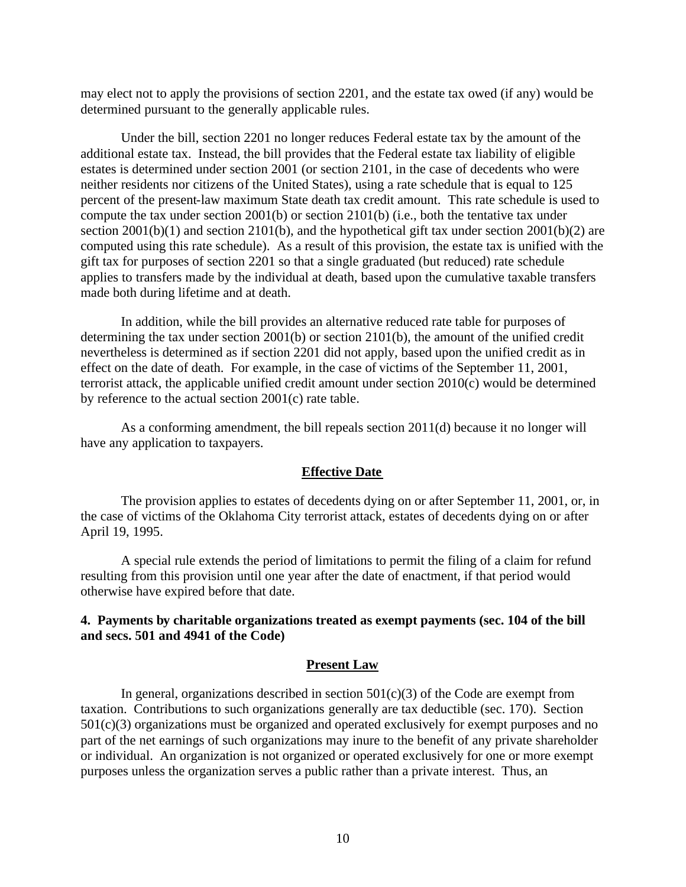may elect not to apply the provisions of section 2201, and the estate tax owed (if any) would be determined pursuant to the generally applicable rules.

Under the bill, section 2201 no longer reduces Federal estate tax by the amount of the additional estate tax. Instead, the bill provides that the Federal estate tax liability of eligible estates is determined under section 2001 (or section 2101, in the case of decedents who were neither residents nor citizens of the United States), using a rate schedule that is equal to 125 percent of the present-law maximum State death tax credit amount. This rate schedule is used to compute the tax under section 2001(b) or section 2101(b) (i.e., both the tentative tax under section 2001(b)(1) and section 2101(b), and the hypothetical gift tax under section 2001(b)(2) are computed using this rate schedule). As a result of this provision, the estate tax is unified with the gift tax for purposes of section 2201 so that a single graduated (but reduced) rate schedule applies to transfers made by the individual at death, based upon the cumulative taxable transfers made both during lifetime and at death.

In addition, while the bill provides an alternative reduced rate table for purposes of determining the tax under section 2001(b) or section 2101(b), the amount of the unified credit nevertheless is determined as if section 2201 did not apply, based upon the unified credit as in effect on the date of death. For example, in the case of victims of the September 11, 2001, terrorist attack, the applicable unified credit amount under section 2010(c) would be determined by reference to the actual section 2001(c) rate table.

As a conforming amendment, the bill repeals section 2011(d) because it no longer will have any application to taxpayers.

#### **Effective Date**

The provision applies to estates of decedents dying on or after September 11, 2001, or, in the case of victims of the Oklahoma City terrorist attack, estates of decedents dying on or after April 19, 1995.

A special rule extends the period of limitations to permit the filing of a claim for refund resulting from this provision until one year after the date of enactment, if that period would otherwise have expired before that date.

### **4. Payments by charitable organizations treated as exempt payments (sec. 104 of the bill and secs. 501 and 4941 of the Code)**

#### **Present Law**

In general, organizations described in section  $501(c)(3)$  of the Code are exempt from taxation. Contributions to such organizations generally are tax deductible (sec. 170). Section 501(c)(3) organizations must be organized and operated exclusively for exempt purposes and no part of the net earnings of such organizations may inure to the benefit of any private shareholder or individual. An organization is not organized or operated exclusively for one or more exempt purposes unless the organization serves a public rather than a private interest. Thus, an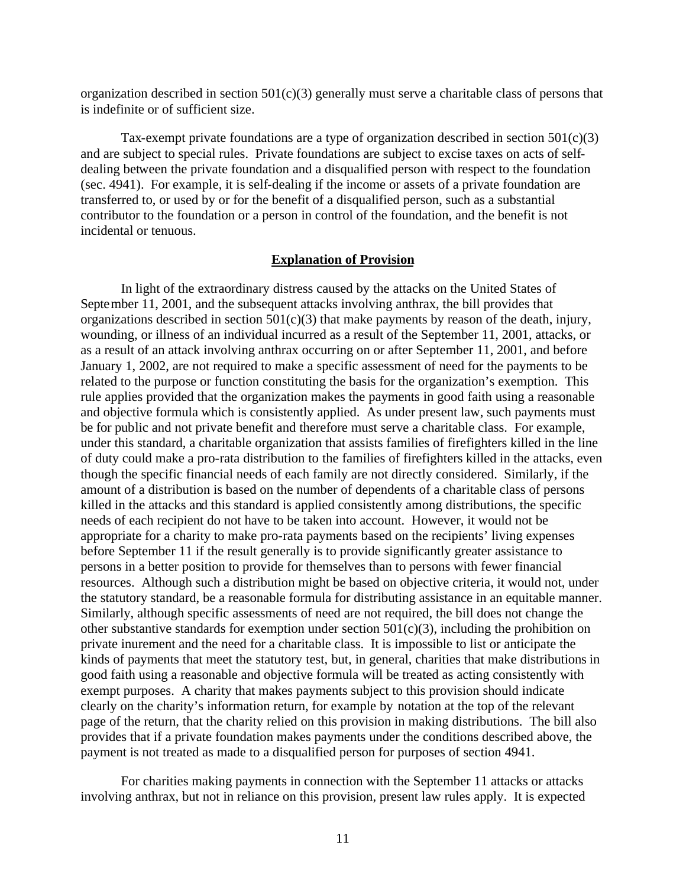organization described in section  $501(c)(3)$  generally must serve a charitable class of persons that is indefinite or of sufficient size.

Tax-exempt private foundations are a type of organization described in section  $501(c)(3)$ and are subject to special rules. Private foundations are subject to excise taxes on acts of selfdealing between the private foundation and a disqualified person with respect to the foundation (sec. 4941). For example, it is self-dealing if the income or assets of a private foundation are transferred to, or used by or for the benefit of a disqualified person, such as a substantial contributor to the foundation or a person in control of the foundation, and the benefit is not incidental or tenuous.

#### **Explanation of Provision**

In light of the extraordinary distress caused by the attacks on the United States of September 11, 2001, and the subsequent attacks involving anthrax, the bill provides that organizations described in section  $501(c)(3)$  that make payments by reason of the death, injury, wounding, or illness of an individual incurred as a result of the September 11, 2001, attacks, or as a result of an attack involving anthrax occurring on or after September 11, 2001, and before January 1, 2002, are not required to make a specific assessment of need for the payments to be related to the purpose or function constituting the basis for the organization's exemption. This rule applies provided that the organization makes the payments in good faith using a reasonable and objective formula which is consistently applied. As under present law, such payments must be for public and not private benefit and therefore must serve a charitable class. For example, under this standard, a charitable organization that assists families of firefighters killed in the line of duty could make a pro-rata distribution to the families of firefighters killed in the attacks, even though the specific financial needs of each family are not directly considered. Similarly, if the amount of a distribution is based on the number of dependents of a charitable class of persons killed in the attacks and this standard is applied consistently among distributions, the specific needs of each recipient do not have to be taken into account. However, it would not be appropriate for a charity to make pro-rata payments based on the recipients' living expenses before September 11 if the result generally is to provide significantly greater assistance to persons in a better position to provide for themselves than to persons with fewer financial resources. Although such a distribution might be based on objective criteria, it would not, under the statutory standard, be a reasonable formula for distributing assistance in an equitable manner. Similarly, although specific assessments of need are not required, the bill does not change the other substantive standards for exemption under section  $501(c)(3)$ , including the prohibition on private inurement and the need for a charitable class. It is impossible to list or anticipate the kinds of payments that meet the statutory test, but, in general, charities that make distributions in good faith using a reasonable and objective formula will be treated as acting consistently with exempt purposes. A charity that makes payments subject to this provision should indicate clearly on the charity's information return, for example by notation at the top of the relevant page of the return, that the charity relied on this provision in making distributions. The bill also provides that if a private foundation makes payments under the conditions described above, the payment is not treated as made to a disqualified person for purposes of section 4941.

For charities making payments in connection with the September 11 attacks or attacks involving anthrax, but not in reliance on this provision, present law rules apply. It is expected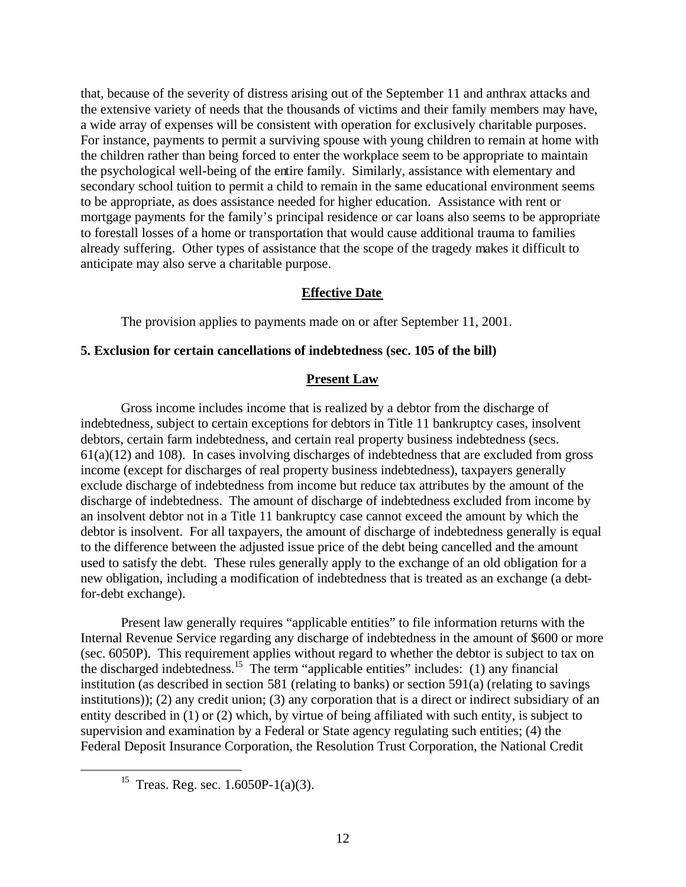that, because of the severity of distress arising out of the September 11 and anthrax attacks and the extensive variety of needs that the thousands of victims and their family members may have, a wide array of expenses will be consistent with operation for exclusively charitable purposes. For instance, payments to permit a surviving spouse with young children to remain at home with the children rather than being forced to enter the workplace seem to be appropriate to maintain the psychological well-being of the entire family. Similarly, assistance with elementary and secondary school tuition to permit a child to remain in the same educational environment seems to be appropriate, as does assistance needed for higher education. Assistance with rent or mortgage payments for the family's principal residence or car loans also seems to be appropriate to forestall losses of a home or transportation that would cause additional trauma to families already suffering. Other types of assistance that the scope of the tragedy makes it difficult to anticipate may also serve a charitable purpose.

#### **Effective Date**

The provision applies to payments made on or after September 11, 2001.

#### **5. Exclusion for certain cancellations of indebtedness (sec. 105 of the bill)**

#### **Present Law**

Gross income includes income that is realized by a debtor from the discharge of indebtedness, subject to certain exceptions for debtors in Title 11 bankruptcy cases, insolvent debtors, certain farm indebtedness, and certain real property business indebtedness (secs.  $61(a)(12)$  and 108). In cases involving discharges of indebtedness that are excluded from gross income (except for discharges of real property business indebtedness), taxpayers generally exclude discharge of indebtedness from income but reduce tax attributes by the amount of the discharge of indebtedness. The amount of discharge of indebtedness excluded from income by an insolvent debtor not in a Title 11 bankruptcy case cannot exceed the amount by which the debtor is insolvent. For all taxpayers, the amount of discharge of indebtedness generally is equal to the difference between the adjusted issue price of the debt being cancelled and the amount used to satisfy the debt. These rules generally apply to the exchange of an old obligation for a new obligation, including a modification of indebtedness that is treated as an exchange (a debtfor-debt exchange).

Present law generally requires "applicable entities" to file information returns with the Internal Revenue Service regarding any discharge of indebtedness in the amount of \$600 or more (sec. 6050P). This requirement applies without regard to whether the debtor is subject to tax on the discharged indebtedness.<sup>15</sup> The term "applicable entities" includes: (1) any financial institution (as described in section 581 (relating to banks) or section 591(a) (relating to savings institutions)); (2) any credit union; (3) any corporation that is a direct or indirect subsidiary of an entity described in (1) or (2) which, by virtue of being affiliated with such entity, is subject to supervision and examination by a Federal or State agency regulating such entities; (4) the Federal Deposit Insurance Corporation, the Resolution Trust Corporation, the National Credit

<sup>&</sup>lt;sup>15</sup> Treas. Reg. sec. 1.6050P-1(a)(3).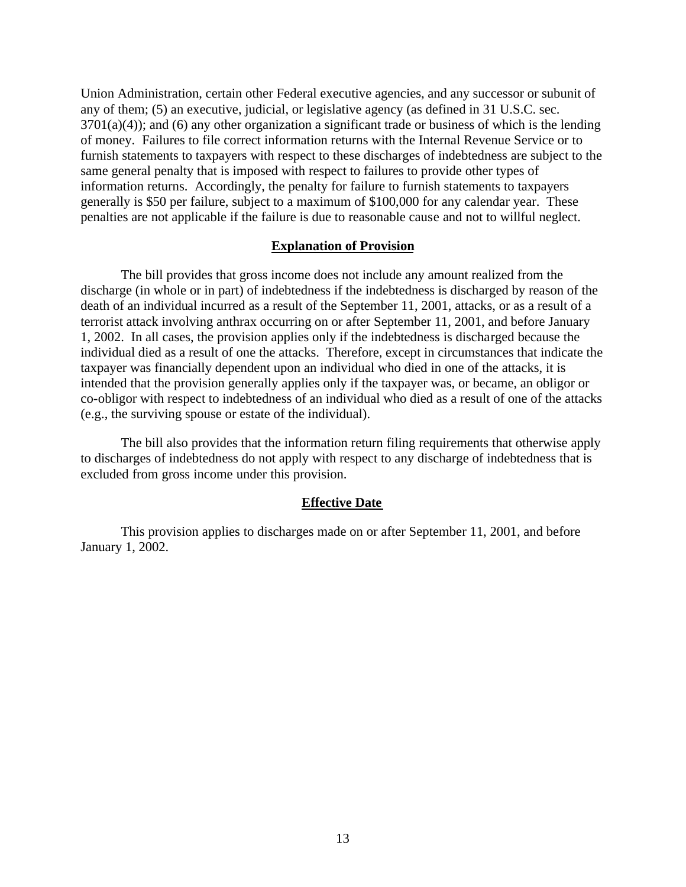Union Administration, certain other Federal executive agencies, and any successor or subunit of any of them; (5) an executive, judicial, or legislative agency (as defined in 31 U.S.C. sec.  $3701(a)(4)$ ; and (6) any other organization a significant trade or business of which is the lending of money. Failures to file correct information returns with the Internal Revenue Service or to furnish statements to taxpayers with respect to these discharges of indebtedness are subject to the same general penalty that is imposed with respect to failures to provide other types of information returns. Accordingly, the penalty for failure to furnish statements to taxpayers generally is \$50 per failure, subject to a maximum of \$100,000 for any calendar year. These penalties are not applicable if the failure is due to reasonable cause and not to willful neglect.

### **Explanation of Provision**

The bill provides that gross income does not include any amount realized from the discharge (in whole or in part) of indebtedness if the indebtedness is discharged by reason of the death of an individual incurred as a result of the September 11, 2001, attacks, or as a result of a terrorist attack involving anthrax occurring on or after September 11, 2001, and before January 1, 2002. In all cases, the provision applies only if the indebtedness is discharged because the individual died as a result of one the attacks. Therefore, except in circumstances that indicate the taxpayer was financially dependent upon an individual who died in one of the attacks, it is intended that the provision generally applies only if the taxpayer was, or became, an obligor or co-obligor with respect to indebtedness of an individual who died as a result of one of the attacks (e.g., the surviving spouse or estate of the individual).

The bill also provides that the information return filing requirements that otherwise apply to discharges of indebtedness do not apply with respect to any discharge of indebtedness that is excluded from gross income under this provision.

#### **Effective Date**

This provision applies to discharges made on or after September 11, 2001, and before January 1, 2002.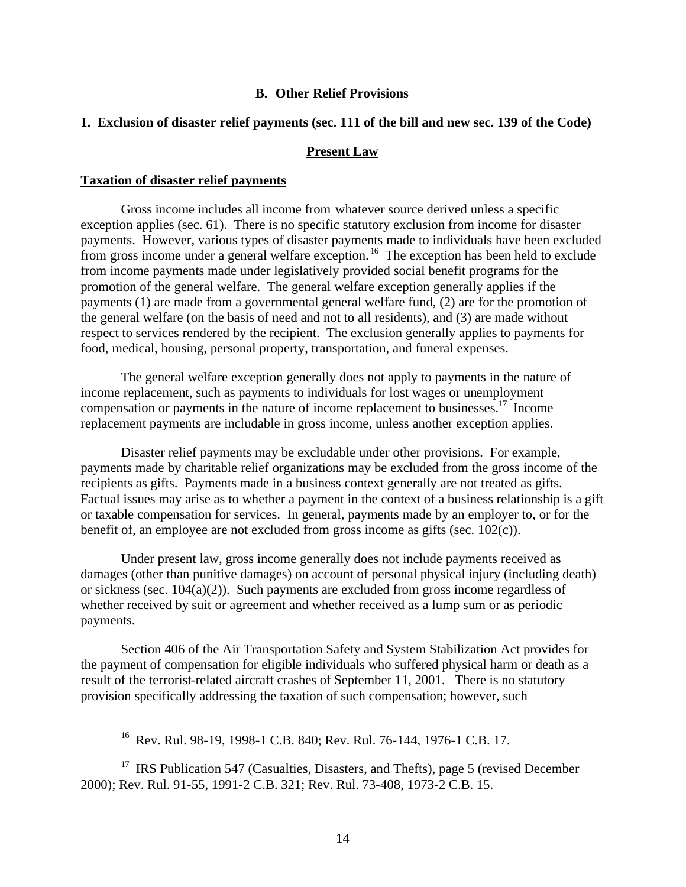### **B. Other Relief Provisions**

### **1. Exclusion of disaster relief payments (sec. 111 of the bill and new sec. 139 of the Code)**

#### **Present Law**

#### **Taxation of disaster relief payments**

 $\overline{a}$ 

Gross income includes all income from whatever source derived unless a specific exception applies (sec. 61). There is no specific statutory exclusion from income for disaster payments. However, various types of disaster payments made to individuals have been excluded from gross income under a general welfare exception.<sup>16</sup> The exception has been held to exclude from income payments made under legislatively provided social benefit programs for the promotion of the general welfare. The general welfare exception generally applies if the payments (1) are made from a governmental general welfare fund, (2) are for the promotion of the general welfare (on the basis of need and not to all residents), and (3) are made without respect to services rendered by the recipient. The exclusion generally applies to payments for food, medical, housing, personal property, transportation, and funeral expenses.

The general welfare exception generally does not apply to payments in the nature of income replacement, such as payments to individuals for lost wages or unemployment compensation or payments in the nature of income replacement to businesses.<sup>17</sup> Income replacement payments are includable in gross income, unless another exception applies.

Disaster relief payments may be excludable under other provisions. For example, payments made by charitable relief organizations may be excluded from the gross income of the recipients as gifts. Payments made in a business context generally are not treated as gifts. Factual issues may arise as to whether a payment in the context of a business relationship is a gift or taxable compensation for services. In general, payments made by an employer to, or for the benefit of, an employee are not excluded from gross income as gifts (sec. 102(c)).

Under present law, gross income generally does not include payments received as damages (other than punitive damages) on account of personal physical injury (including death) or sickness (sec. 104(a)(2)). Such payments are excluded from gross income regardless of whether received by suit or agreement and whether received as a lump sum or as periodic payments.

Section 406 of the Air Transportation Safety and System Stabilization Act provides for the payment of compensation for eligible individuals who suffered physical harm or death as a result of the terrorist-related aircraft crashes of September 11, 2001. There is no statutory provision specifically addressing the taxation of such compensation; however, such

<sup>16</sup> Rev. Rul. 98-19, 1998-1 C.B. 840; Rev. Rul. 76-144, 1976-1 C.B. 17.

<sup>&</sup>lt;sup>17</sup> IRS Publication 547 (Casualties, Disasters, and Thefts), page 5 (revised December 2000); Rev. Rul. 91-55, 1991-2 C.B. 321; Rev. Rul. 73-408, 1973-2 C.B. 15.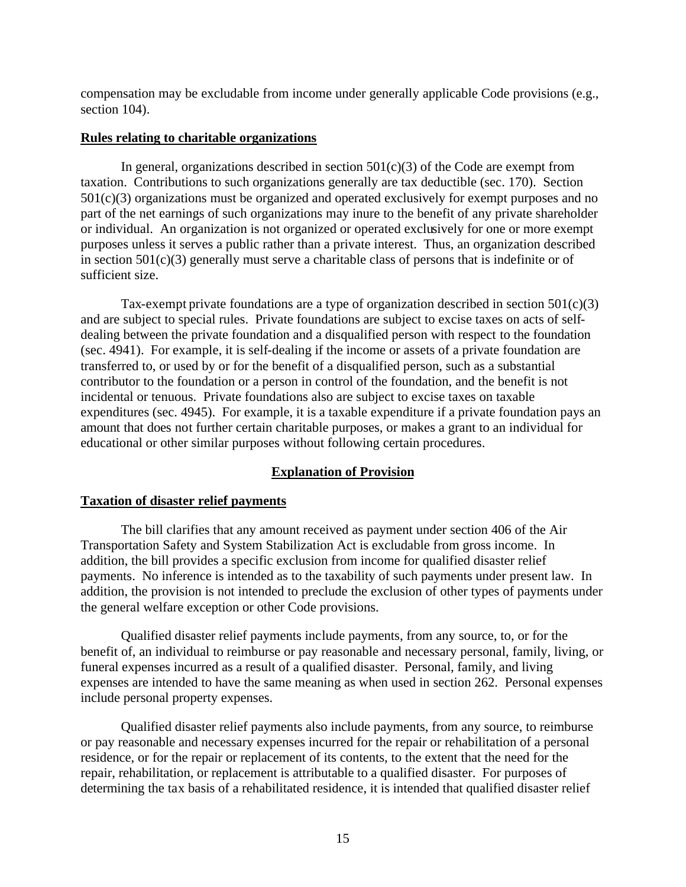compensation may be excludable from income under generally applicable Code provisions (e.g., section 104).

### **Rules relating to charitable organizations**

In general, organizations described in section  $501(c)(3)$  of the Code are exempt from taxation. Contributions to such organizations generally are tax deductible (sec. 170). Section 501(c)(3) organizations must be organized and operated exclusively for exempt purposes and no part of the net earnings of such organizations may inure to the benefit of any private shareholder or individual. An organization is not organized or operated exclusively for one or more exempt purposes unless it serves a public rather than a private interest. Thus, an organization described in section  $501(c)(3)$  generally must serve a charitable class of persons that is indefinite or of sufficient size.

Tax-exempt private foundations are a type of organization described in section  $501(c)(3)$ and are subject to special rules. Private foundations are subject to excise taxes on acts of selfdealing between the private foundation and a disqualified person with respect to the foundation (sec. 4941). For example, it is self-dealing if the income or assets of a private foundation are transferred to, or used by or for the benefit of a disqualified person, such as a substantial contributor to the foundation or a person in control of the foundation, and the benefit is not incidental or tenuous. Private foundations also are subject to excise taxes on taxable expenditures (sec. 4945). For example, it is a taxable expenditure if a private foundation pays an amount that does not further certain charitable purposes, or makes a grant to an individual for educational or other similar purposes without following certain procedures.

## **Explanation of Provision**

### **Taxation of disaster relief payments**

The bill clarifies that any amount received as payment under section 406 of the Air Transportation Safety and System Stabilization Act is excludable from gross income. In addition, the bill provides a specific exclusion from income for qualified disaster relief payments. No inference is intended as to the taxability of such payments under present law. In addition, the provision is not intended to preclude the exclusion of other types of payments under the general welfare exception or other Code provisions.

Qualified disaster relief payments include payments, from any source, to, or for the benefit of, an individual to reimburse or pay reasonable and necessary personal, family, living, or funeral expenses incurred as a result of a qualified disaster. Personal, family, and living expenses are intended to have the same meaning as when used in section 262. Personal expenses include personal property expenses.

Qualified disaster relief payments also include payments, from any source, to reimburse or pay reasonable and necessary expenses incurred for the repair or rehabilitation of a personal residence, or for the repair or replacement of its contents, to the extent that the need for the repair, rehabilitation, or replacement is attributable to a qualified disaster. For purposes of determining the tax basis of a rehabilitated residence, it is intended that qualified disaster relief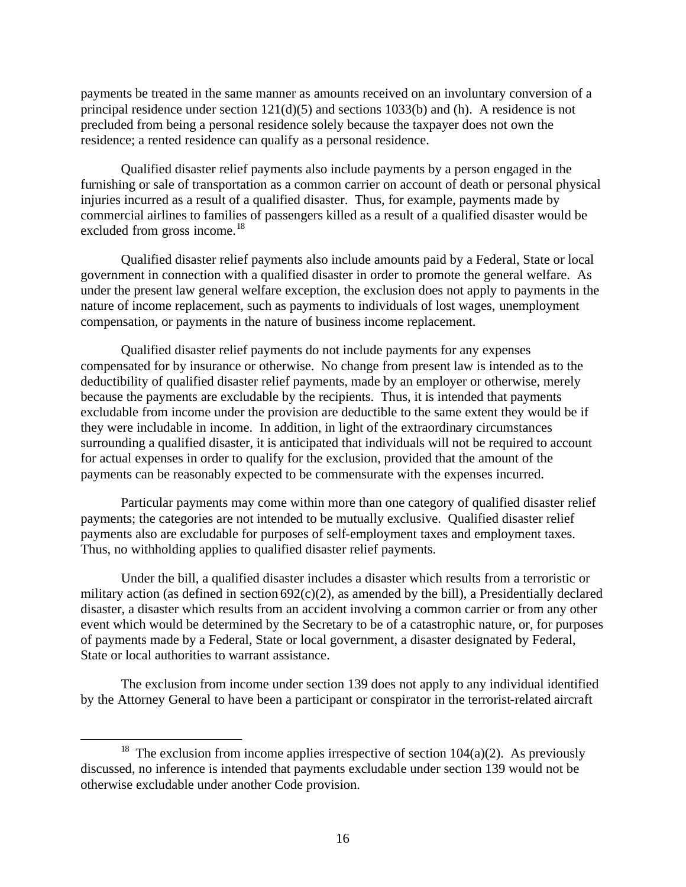payments be treated in the same manner as amounts received on an involuntary conversion of a principal residence under section 121(d)(5) and sections 1033(b) and (h). A residence is not precluded from being a personal residence solely because the taxpayer does not own the residence; a rented residence can qualify as a personal residence.

Qualified disaster relief payments also include payments by a person engaged in the furnishing or sale of transportation as a common carrier on account of death or personal physical injuries incurred as a result of a qualified disaster. Thus, for example, payments made by commercial airlines to families of passengers killed as a result of a qualified disaster would be excluded from gross income.<sup>18</sup>

Qualified disaster relief payments also include amounts paid by a Federal, State or local government in connection with a qualified disaster in order to promote the general welfare. As under the present law general welfare exception, the exclusion does not apply to payments in the nature of income replacement, such as payments to individuals of lost wages, unemployment compensation, or payments in the nature of business income replacement.

Qualified disaster relief payments do not include payments for any expenses compensated for by insurance or otherwise. No change from present law is intended as to the deductibility of qualified disaster relief payments, made by an employer or otherwise, merely because the payments are excludable by the recipients. Thus, it is intended that payments excludable from income under the provision are deductible to the same extent they would be if they were includable in income. In addition, in light of the extraordinary circumstances surrounding a qualified disaster, it is anticipated that individuals will not be required to account for actual expenses in order to qualify for the exclusion, provided that the amount of the payments can be reasonably expected to be commensurate with the expenses incurred.

Particular payments may come within more than one category of qualified disaster relief payments; the categories are not intended to be mutually exclusive. Qualified disaster relief payments also are excludable for purposes of self-employment taxes and employment taxes. Thus, no withholding applies to qualified disaster relief payments.

Under the bill, a qualified disaster includes a disaster which results from a terroristic or military action (as defined in section  $692(c)(2)$ , as amended by the bill), a Presidentially declared disaster, a disaster which results from an accident involving a common carrier or from any other event which would be determined by the Secretary to be of a catastrophic nature, or, for purposes of payments made by a Federal, State or local government, a disaster designated by Federal, State or local authorities to warrant assistance.

The exclusion from income under section 139 does not apply to any individual identified by the Attorney General to have been a participant or conspirator in the terrorist-related aircraft

<sup>&</sup>lt;sup>18</sup> The exclusion from income applies irrespective of section  $104(a)(2)$ . As previously discussed, no inference is intended that payments excludable under section 139 would not be otherwise excludable under another Code provision.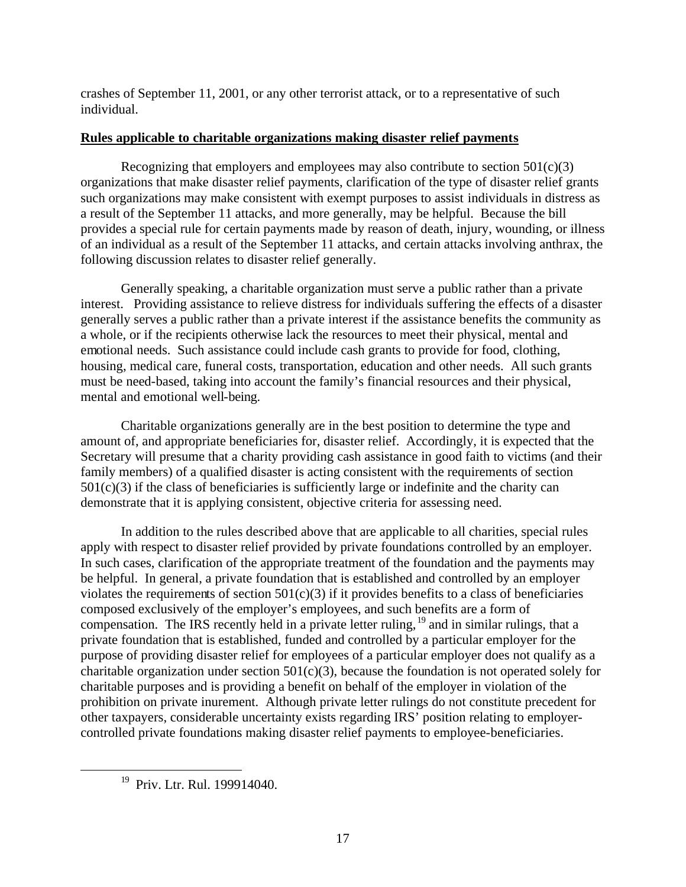crashes of September 11, 2001, or any other terrorist attack, or to a representative of such individual.

### **Rules applicable to charitable organizations making disaster relief payments**

Recognizing that employers and employees may also contribute to section  $501(c)(3)$ organizations that make disaster relief payments, clarification of the type of disaster relief grants such organizations may make consistent with exempt purposes to assist individuals in distress as a result of the September 11 attacks, and more generally, may be helpful. Because the bill provides a special rule for certain payments made by reason of death, injury, wounding, or illness of an individual as a result of the September 11 attacks, and certain attacks involving anthrax, the following discussion relates to disaster relief generally.

Generally speaking, a charitable organization must serve a public rather than a private interest. Providing assistance to relieve distress for individuals suffering the effects of a disaster generally serves a public rather than a private interest if the assistance benefits the community as a whole, or if the recipients otherwise lack the resources to meet their physical, mental and emotional needs. Such assistance could include cash grants to provide for food, clothing, housing, medical care, funeral costs, transportation, education and other needs. All such grants must be need-based, taking into account the family's financial resources and their physical, mental and emotional well-being.

Charitable organizations generally are in the best position to determine the type and amount of, and appropriate beneficiaries for, disaster relief. Accordingly, it is expected that the Secretary will presume that a charity providing cash assistance in good faith to victims (and their family members) of a qualified disaster is acting consistent with the requirements of section 501(c)(3) if the class of beneficiaries is sufficiently large or indefinite and the charity can demonstrate that it is applying consistent, objective criteria for assessing need.

In addition to the rules described above that are applicable to all charities, special rules apply with respect to disaster relief provided by private foundations controlled by an employer. In such cases, clarification of the appropriate treatment of the foundation and the payments may be helpful. In general, a private foundation that is established and controlled by an employer violates the requirements of section  $501(c)(3)$  if it provides benefits to a class of beneficiaries composed exclusively of the employer's employees, and such benefits are a form of composed therefore, or the empression is empressed. The component of the IRS recently held in a private letter ruling, <sup>19</sup> and in similar rulings, that a private foundation that is established, funded and controlled by a particular employer for the purpose of providing disaster relief for employees of a particular employer does not qualify as a charitable organization under section  $501(c)(3)$ , because the foundation is not operated solely for charitable purposes and is providing a benefit on behalf of the employer in violation of the prohibition on private inurement. Although private letter rulings do not constitute precedent for other taxpayers, considerable uncertainty exists regarding IRS' position relating to employercontrolled private foundations making disaster relief payments to employee-beneficiaries.

<sup>&</sup>lt;sup>19</sup> Priv. Ltr. Rul. 199914040.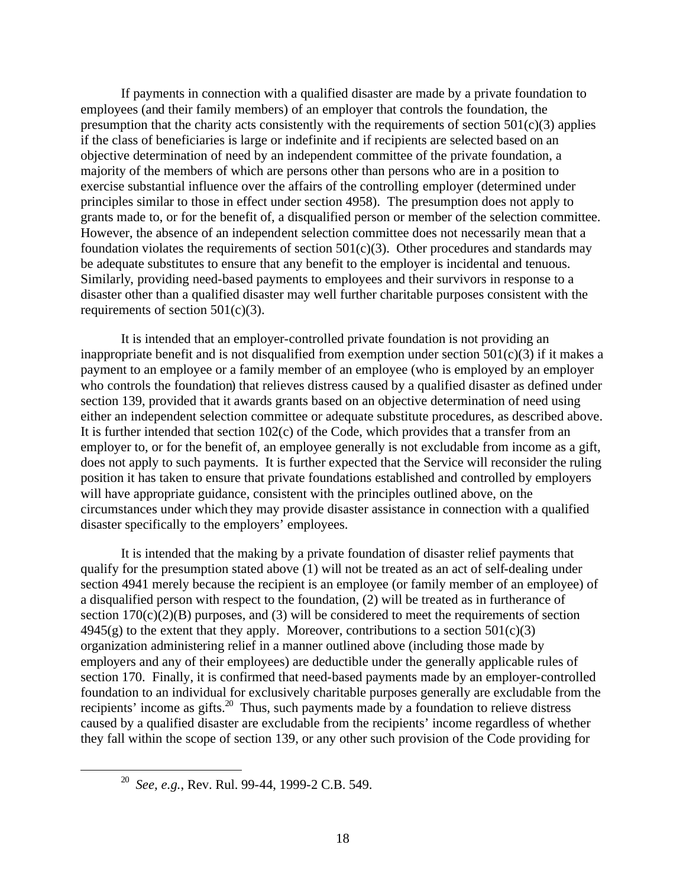If payments in connection with a qualified disaster are made by a private foundation to employees (and their family members) of an employer that controls the foundation, the presumption that the charity acts consistently with the requirements of section  $501(c)(3)$  applies if the class of beneficiaries is large or indefinite and if recipients are selected based on an objective determination of need by an independent committee of the private foundation, a majority of the members of which are persons other than persons who are in a position to exercise substantial influence over the affairs of the controlling employer (determined under principles similar to those in effect under section 4958). The presumption does not apply to grants made to, or for the benefit of, a disqualified person or member of the selection committee. However, the absence of an independent selection committee does not necessarily mean that a foundation violates the requirements of section  $501(c)(3)$ . Other procedures and standards may be adequate substitutes to ensure that any benefit to the employer is incidental and tenuous. Similarly, providing need-based payments to employees and their survivors in response to a disaster other than a qualified disaster may well further charitable purposes consistent with the requirements of section  $501(c)(3)$ .

It is intended that an employer-controlled private foundation is not providing an inappropriate benefit and is not disqualified from exemption under section  $501(c)(3)$  if it makes a payment to an employee or a family member of an employee (who is employed by an employer who controls the foundation) that relieves distress caused by a qualified disaster as defined under section 139, provided that it awards grants based on an objective determination of need using either an independent selection committee or adequate substitute procedures, as described above. It is further intended that section 102(c) of the Code, which provides that a transfer from an employer to, or for the benefit of, an employee generally is not excludable from income as a gift, does not apply to such payments. It is further expected that the Service will reconsider the ruling position it has taken to ensure that private foundations established and controlled by employers will have appropriate guidance, consistent with the principles outlined above, on the circumstances under which they may provide disaster assistance in connection with a qualified disaster specifically to the employers' employees.

It is intended that the making by a private foundation of disaster relief payments that qualify for the presumption stated above (1) will not be treated as an act of self-dealing under section 4941 merely because the recipient is an employee (or family member of an employee) of a disqualified person with respect to the foundation, (2) will be treated as in furtherance of section  $170(c)(2)(B)$  purposes, and (3) will be considered to meet the requirements of section  $4945(g)$  to the extent that they apply. Moreover, contributions to a section  $501(c)(3)$ organization administering relief in a manner outlined above (including those made by employers and any of their employees) are deductible under the generally applicable rules of section 170. Finally, it is confirmed that need-based payments made by an employer-controlled foundation to an individual for exclusively charitable purposes generally are excludable from the recipients' income as gifts.<sup>20</sup> Thus, such payments made by a foundation to relieve distress caused by a qualified disaster are excludable from the recipients' income regardless of whether they fall within the scope of section 139, or any other such provision of the Code providing for

<sup>20</sup> *See, e.g.*, Rev. Rul. 99-44, 1999-2 C.B. 549.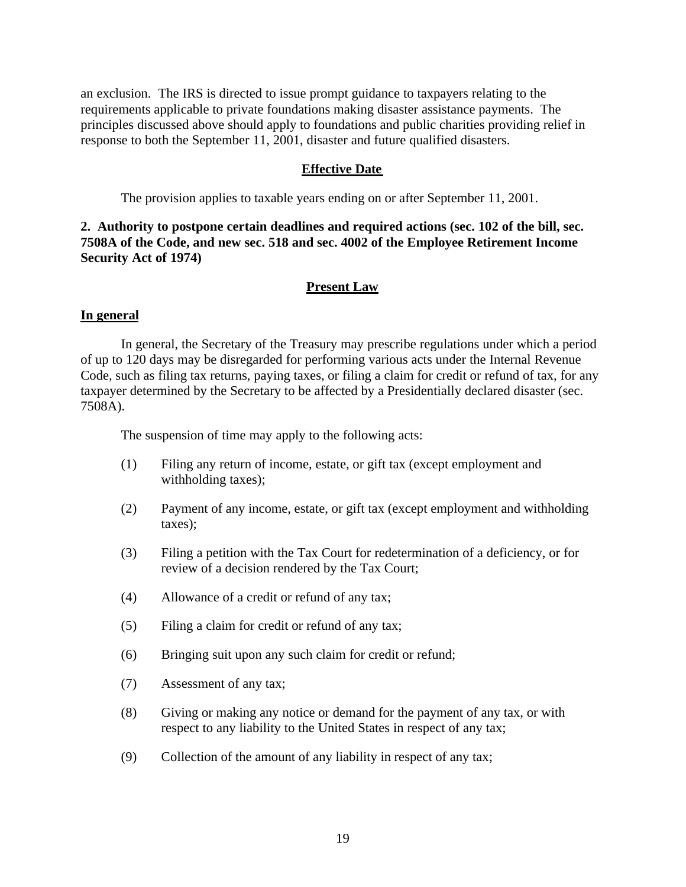an exclusion. The IRS is directed to issue prompt guidance to taxpayers relating to the requirements applicable to private foundations making disaster assistance payments. The principles discussed above should apply to foundations and public charities providing relief in response to both the September 11, 2001, disaster and future qualified disasters.

### **Effective Date**

The provision applies to taxable years ending on or after September 11, 2001.

**2. Authority to postpone certain deadlines and required actions (sec. 102 of the bill, sec. 7508A of the Code, and new sec. 518 and sec. 4002 of the Employee Retirement Income Security Act of 1974)**

### **Present Law**

#### **In general**

In general, the Secretary of the Treasury may prescribe regulations under which a period of up to 120 days may be disregarded for performing various acts under the Internal Revenue Code, such as filing tax returns, paying taxes, or filing a claim for credit or refund of tax, for any taxpayer determined by the Secretary to be affected by a Presidentially declared disaster (sec. 7508A).

The suspension of time may apply to the following acts:

- (1) Filing any return of income, estate, or gift tax (except employment and withholding taxes);
- (2) Payment of any income, estate, or gift tax (except employment and withholding taxes);
- (3) Filing a petition with the Tax Court for redetermination of a deficiency, or for review of a decision rendered by the Tax Court;
- (4) Allowance of a credit or refund of any tax;
- (5) Filing a claim for credit or refund of any tax;
- (6) Bringing suit upon any such claim for credit or refund;
- (7) Assessment of any tax;
- (8) Giving or making any notice or demand for the payment of any tax, or with respect to any liability to the United States in respect of any tax;
- (9) Collection of the amount of any liability in respect of any tax;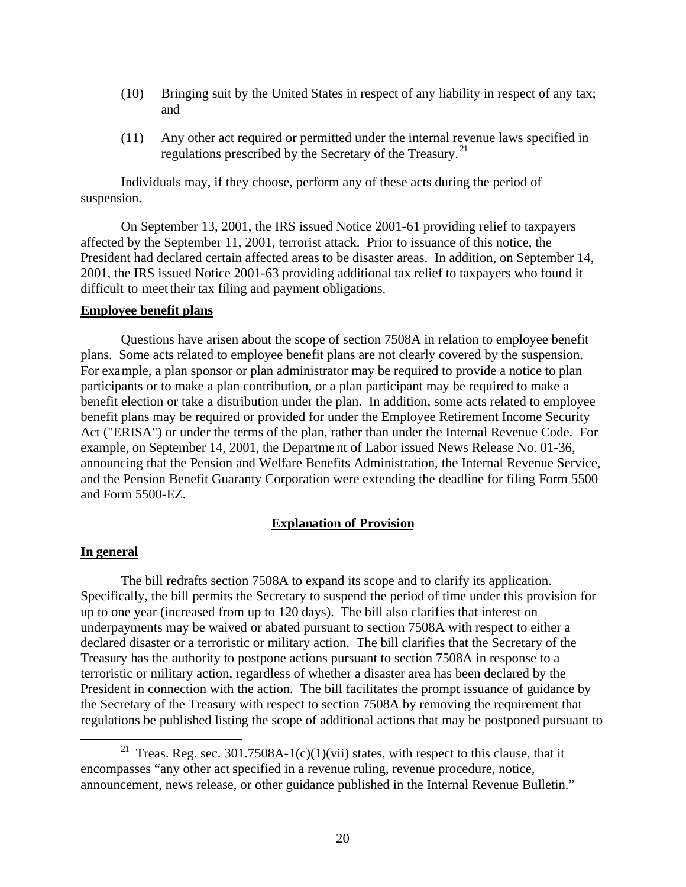- (10) Bringing suit by the United States in respect of any liability in respect of any tax; and
- (11) Any other act required or permitted under the internal revenue laws specified in regulations prescribed by the Secretary of the Treasury.<sup>21</sup>

Individuals may, if they choose, perform any of these acts during the period of suspension.

On September 13, 2001, the IRS issued Notice 2001-61 providing relief to taxpayers affected by the September 11, 2001, terrorist attack. Prior to issuance of this notice, the President had declared certain affected areas to be disaster areas. In addition, on September 14, 2001, the IRS issued Notice 2001-63 providing additional tax relief to taxpayers who found it difficult to meet their tax filing and payment obligations.

### **Employee benefit plans**

Questions have arisen about the scope of section 7508A in relation to employee benefit plans. Some acts related to employee benefit plans are not clearly covered by the suspension. For example, a plan sponsor or plan administrator may be required to provide a notice to plan participants or to make a plan contribution, or a plan participant may be required to make a benefit election or take a distribution under the plan. In addition, some acts related to employee benefit plans may be required or provided for under the Employee Retirement Income Security Act ("ERISA") or under the terms of the plan, rather than under the Internal Revenue Code. For example, on September 14, 2001, the Departme nt of Labor issued News Release No. 01-36, announcing that the Pension and Welfare Benefits Administration, the Internal Revenue Service, and the Pension Benefit Guaranty Corporation were extending the deadline for filing Form 5500 and Form 5500-EZ.

## **Explanation of Provision**

### **In general**

 $\overline{a}$ 

The bill redrafts section 7508A to expand its scope and to clarify its application. Specifically, the bill permits the Secretary to suspend the period of time under this provision for up to one year (increased from up to 120 days). The bill also clarifies that interest on underpayments may be waived or abated pursuant to section 7508A with respect to either a declared disaster or a terroristic or military action. The bill clarifies that the Secretary of the Treasury has the authority to postpone actions pursuant to section 7508A in response to a terroristic or military action, regardless of whether a disaster area has been declared by the President in connection with the action. The bill facilitates the prompt issuance of guidance by the Secretary of the Treasury with respect to section 7508A by removing the requirement that regulations be published listing the scope of additional actions that may be postponed pursuant to

<sup>&</sup>lt;sup>21</sup> Treas. Reg. sec. 301.7508A-1(c)(1)(vii) states, with respect to this clause, that it encompasses "any other act specified in a revenue ruling, revenue procedure, notice, announcement, news release, or other guidance published in the Internal Revenue Bulletin."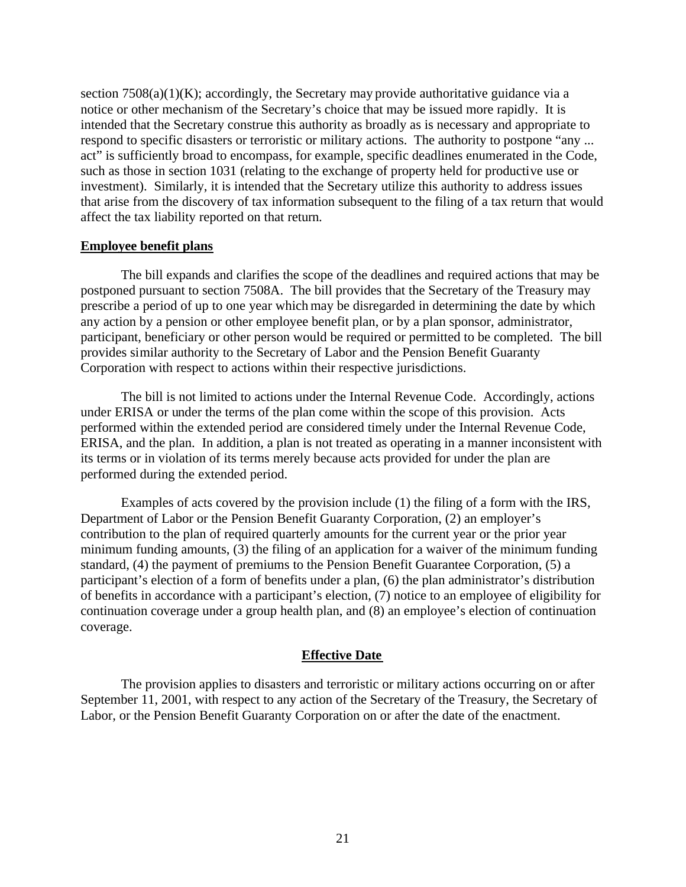section  $7508(a)(1)(K)$ ; accordingly, the Secretary may provide authoritative guidance via a notice or other mechanism of the Secretary's choice that may be issued more rapidly. It is intended that the Secretary construe this authority as broadly as is necessary and appropriate to respond to specific disasters or terroristic or military actions. The authority to postpone "any ... act" is sufficiently broad to encompass, for example, specific deadlines enumerated in the Code, such as those in section 1031 (relating to the exchange of property held for productive use or investment). Similarly, it is intended that the Secretary utilize this authority to address issues that arise from the discovery of tax information subsequent to the filing of a tax return that would affect the tax liability reported on that return.

#### **Employee benefit plans**

The bill expands and clarifies the scope of the deadlines and required actions that may be postponed pursuant to section 7508A. The bill provides that the Secretary of the Treasury may prescribe a period of up to one year which may be disregarded in determining the date by which any action by a pension or other employee benefit plan, or by a plan sponsor, administrator, participant, beneficiary or other person would be required or permitted to be completed. The bill provides similar authority to the Secretary of Labor and the Pension Benefit Guaranty Corporation with respect to actions within their respective jurisdictions.

The bill is not limited to actions under the Internal Revenue Code. Accordingly, actions under ERISA or under the terms of the plan come within the scope of this provision. Acts performed within the extended period are considered timely under the Internal Revenue Code, ERISA, and the plan. In addition, a plan is not treated as operating in a manner inconsistent with its terms or in violation of its terms merely because acts provided for under the plan are performed during the extended period.

Examples of acts covered by the provision include (1) the filing of a form with the IRS, Department of Labor or the Pension Benefit Guaranty Corporation, (2) an employer's contribution to the plan of required quarterly amounts for the current year or the prior year minimum funding amounts, (3) the filing of an application for a waiver of the minimum funding standard, (4) the payment of premiums to the Pension Benefit Guarantee Corporation, (5) a participant's election of a form of benefits under a plan, (6) the plan administrator's distribution of benefits in accordance with a participant's election, (7) notice to an employee of eligibility for continuation coverage under a group health plan, and (8) an employee's election of continuation coverage.

## **Effective Date**

The provision applies to disasters and terroristic or military actions occurring on or after September 11, 2001, with respect to any action of the Secretary of the Treasury, the Secretary of Labor, or the Pension Benefit Guaranty Corporation on or after the date of the enactment.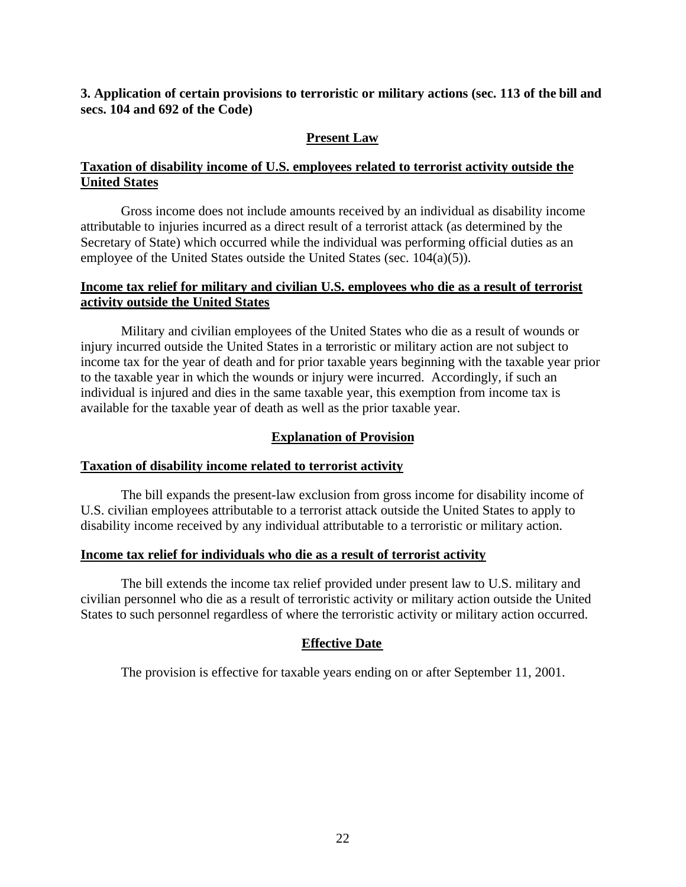**3. Application of certain provisions to terroristic or military actions (sec. 113 of the bill and secs. 104 and 692 of the Code)**

## **Present Law**

## **Taxation of disability income of U.S. employees related to terrorist activity outside the United States**

Gross income does not include amounts received by an individual as disability income attributable to injuries incurred as a direct result of a terrorist attack (as determined by the Secretary of State) which occurred while the individual was performing official duties as an employee of the United States outside the United States (sec. 104(a)(5)).

## **Income tax relief for military and civilian U.S. employees who die as a result of terrorist activity outside the United States**

Military and civilian employees of the United States who die as a result of wounds or injury incurred outside the United States in a terroristic or military action are not subject to income tax for the year of death and for prior taxable years beginning with the taxable year prior to the taxable year in which the wounds or injury were incurred. Accordingly, if such an individual is injured and dies in the same taxable year, this exemption from income tax is available for the taxable year of death as well as the prior taxable year.

## **Explanation of Provision**

## **Taxation of disability income related to terrorist activity**

The bill expands the present-law exclusion from gross income for disability income of U.S. civilian employees attributable to a terrorist attack outside the United States to apply to disability income received by any individual attributable to a terroristic or military action.

## **Income tax relief for individuals who die as a result of terrorist activity**

The bill extends the income tax relief provided under present law to U.S. military and civilian personnel who die as a result of terroristic activity or military action outside the United States to such personnel regardless of where the terroristic activity or military action occurred.

# **Effective Date**

The provision is effective for taxable years ending on or after September 11, 2001.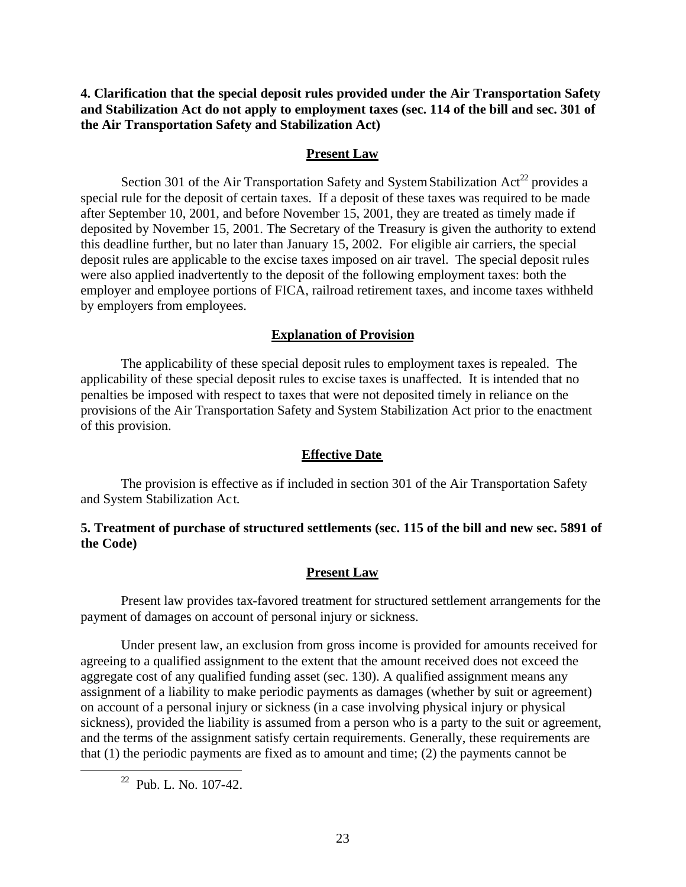**4. Clarification that the special deposit rules provided under the Air Transportation Safety and Stabilization Act do not apply to employment taxes (sec. 114 of the bill and sec. 301 of the Air Transportation Safety and Stabilization Act)**

#### **Present Law**

Section 301 of the Air Transportation Safety and System Stabilization  $Act^{22}$  provides a special rule for the deposit of certain taxes. If a deposit of these taxes was required to be made after September 10, 2001, and before November 15, 2001, they are treated as timely made if deposited by November 15, 2001. The Secretary of the Treasury is given the authority to extend this deadline further, but no later than January 15, 2002. For eligible air carriers, the special deposit rules are applicable to the excise taxes imposed on air travel. The special deposit rules were also applied inadvertently to the deposit of the following employment taxes: both the employer and employee portions of FICA, railroad retirement taxes, and income taxes withheld by employers from employees.

### **Explanation of Provision**

The applicability of these special deposit rules to employment taxes is repealed. The applicability of these special deposit rules to excise taxes is unaffected. It is intended that no penalties be imposed with respect to taxes that were not deposited timely in reliance on the provisions of the Air Transportation Safety and System Stabilization Act prior to the enactment of this provision.

### **Effective Date**

The provision is effective as if included in section 301 of the Air Transportation Safety and System Stabilization Act.

### **5. Treatment of purchase of structured settlements (sec. 115 of the bill and new sec. 5891 of the Code)**

### **Present Law**

Present law provides tax-favored treatment for structured settlement arrangements for the payment of damages on account of personal injury or sickness.

Under present law, an exclusion from gross income is provided for amounts received for agreeing to a qualified assignment to the extent that the amount received does not exceed the aggregate cost of any qualified funding asset (sec. 130). A qualified assignment means any assignment of a liability to make periodic payments as damages (whether by suit or agreement) on account of a personal injury or sickness (in a case involving physical injury or physical sickness), provided the liability is assumed from a person who is a party to the suit or agreement, and the terms of the assignment satisfy certain requirements. Generally, these requirements are that (1) the periodic payments are fixed as to amount and time; (2) the payments cannot be

1

 $22$  Pub. L. No. 107-42.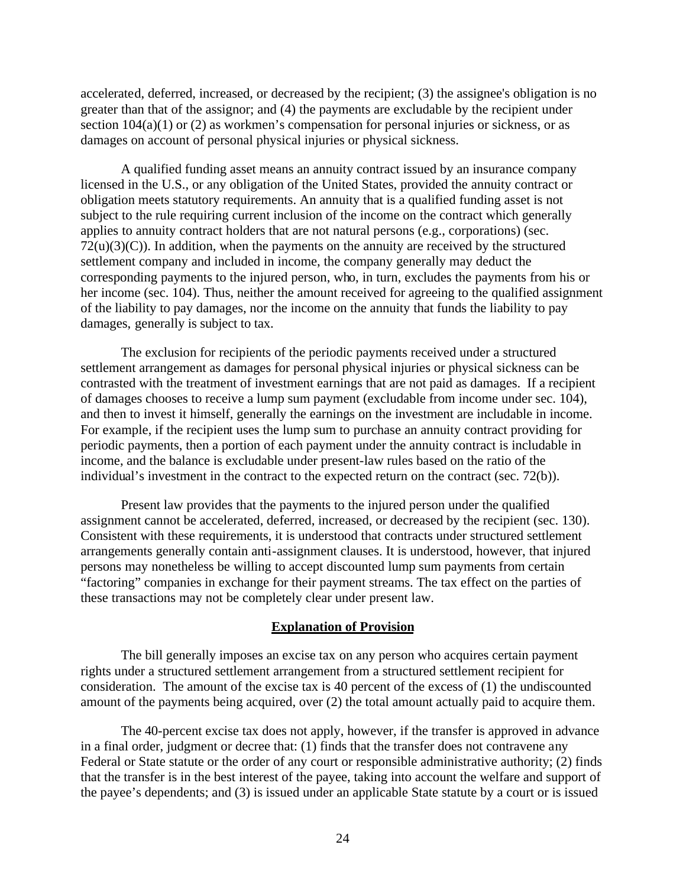accelerated, deferred, increased, or decreased by the recipient; (3) the assignee's obligation is no greater than that of the assignor; and (4) the payments are excludable by the recipient under section  $104(a)(1)$  or (2) as workmen's compensation for personal injuries or sickness, or as damages on account of personal physical injuries or physical sickness.

A qualified funding asset means an annuity contract issued by an insurance company licensed in the U.S., or any obligation of the United States, provided the annuity contract or obligation meets statutory requirements. An annuity that is a qualified funding asset is not subject to the rule requiring current inclusion of the income on the contract which generally applies to annuity contract holders that are not natural persons (e.g., corporations) (sec.  $72(u)(3)(C)$ ). In addition, when the payments on the annuity are received by the structured settlement company and included in income, the company generally may deduct the corresponding payments to the injured person, who, in turn, excludes the payments from his or her income (sec. 104). Thus, neither the amount received for agreeing to the qualified assignment of the liability to pay damages, nor the income on the annuity that funds the liability to pay damages, generally is subject to tax.

The exclusion for recipients of the periodic payments received under a structured settlement arrangement as damages for personal physical injuries or physical sickness can be contrasted with the treatment of investment earnings that are not paid as damages. If a recipient of damages chooses to receive a lump sum payment (excludable from income under sec. 104), and then to invest it himself, generally the earnings on the investment are includable in income. For example, if the recipient uses the lump sum to purchase an annuity contract providing for periodic payments, then a portion of each payment under the annuity contract is includable in income, and the balance is excludable under present-law rules based on the ratio of the individual's investment in the contract to the expected return on the contract (sec. 72(b)).

Present law provides that the payments to the injured person under the qualified assignment cannot be accelerated, deferred, increased, or decreased by the recipient (sec. 130). Consistent with these requirements, it is understood that contracts under structured settlement arrangements generally contain anti-assignment clauses. It is understood, however, that injured persons may nonetheless be willing to accept discounted lump sum payments from certain "factoring" companies in exchange for their payment streams. The tax effect on the parties of these transactions may not be completely clear under present law.

#### **Explanation of Provision**

The bill generally imposes an excise tax on any person who acquires certain payment rights under a structured settlement arrangement from a structured settlement recipient for consideration. The amount of the excise tax is 40 percent of the excess of (1) the undiscounted amount of the payments being acquired, over (2) the total amount actually paid to acquire them.

The 40-percent excise tax does not apply, however, if the transfer is approved in advance in a final order, judgment or decree that: (1) finds that the transfer does not contravene any Federal or State statute or the order of any court or responsible administrative authority; (2) finds that the transfer is in the best interest of the payee, taking into account the welfare and support of the payee's dependents; and (3) is issued under an applicable State statute by a court or is issued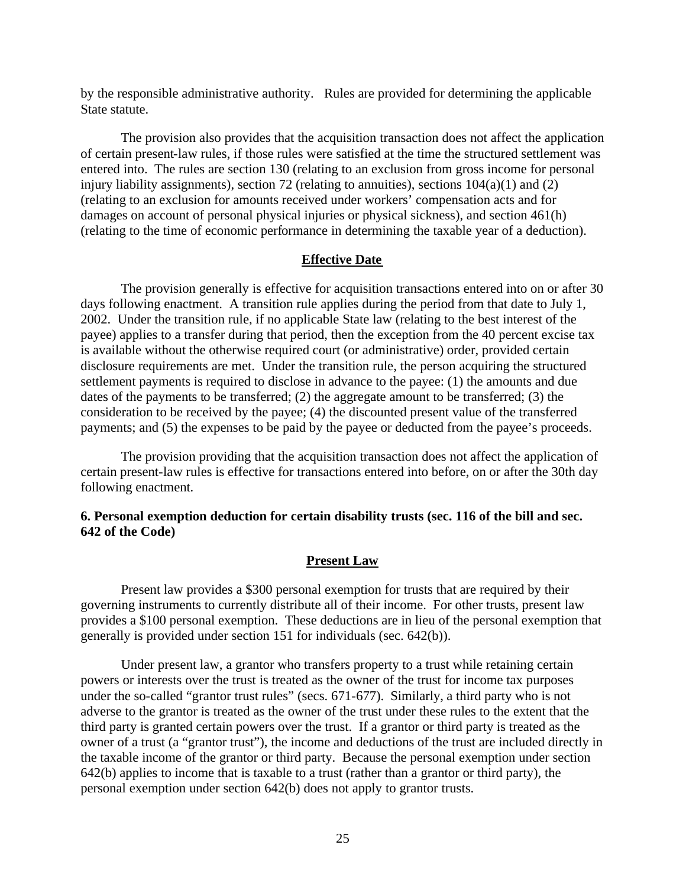by the responsible administrative authority. Rules are provided for determining the applicable State statute.

The provision also provides that the acquisition transaction does not affect the application of certain present-law rules, if those rules were satisfied at the time the structured settlement was entered into. The rules are section 130 (relating to an exclusion from gross income for personal injury liability assignments), section 72 (relating to annuities), sections  $104(a)(1)$  and  $(2)$ (relating to an exclusion for amounts received under workers' compensation acts and for damages on account of personal physical injuries or physical sickness), and section 461(h) (relating to the time of economic performance in determining the taxable year of a deduction).

### **Effective Date**

The provision generally is effective for acquisition transactions entered into on or after 30 days following enactment. A transition rule applies during the period from that date to July 1, 2002. Under the transition rule, if no applicable State law (relating to the best interest of the payee) applies to a transfer during that period, then the exception from the 40 percent excise tax is available without the otherwise required court (or administrative) order, provided certain disclosure requirements are met. Under the transition rule, the person acquiring the structured settlement payments is required to disclose in advance to the payee: (1) the amounts and due dates of the payments to be transferred; (2) the aggregate amount to be transferred; (3) the consideration to be received by the payee; (4) the discounted present value of the transferred payments; and (5) the expenses to be paid by the payee or deducted from the payee's proceeds.

The provision providing that the acquisition transaction does not affect the application of certain present-law rules is effective for transactions entered into before, on or after the 30th day following enactment.

### **6. Personal exemption deduction for certain disability trusts (sec. 116 of the bill and sec. 642 of the Code)**

### **Present Law**

Present law provides a \$300 personal exemption for trusts that are required by their governing instruments to currently distribute all of their income. For other trusts, present law provides a \$100 personal exemption. These deductions are in lieu of the personal exemption that generally is provided under section 151 for individuals (sec. 642(b)).

Under present law, a grantor who transfers property to a trust while retaining certain powers or interests over the trust is treated as the owner of the trust for income tax purposes under the so-called "grantor trust rules" (secs. 671-677). Similarly, a third party who is not adverse to the grantor is treated as the owner of the trust under these rules to the extent that the third party is granted certain powers over the trust. If a grantor or third party is treated as the owner of a trust (a "grantor trust"), the income and deductions of the trust are included directly in the taxable income of the grantor or third party. Because the personal exemption under section 642(b) applies to income that is taxable to a trust (rather than a grantor or third party), the personal exemption under section 642(b) does not apply to grantor trusts.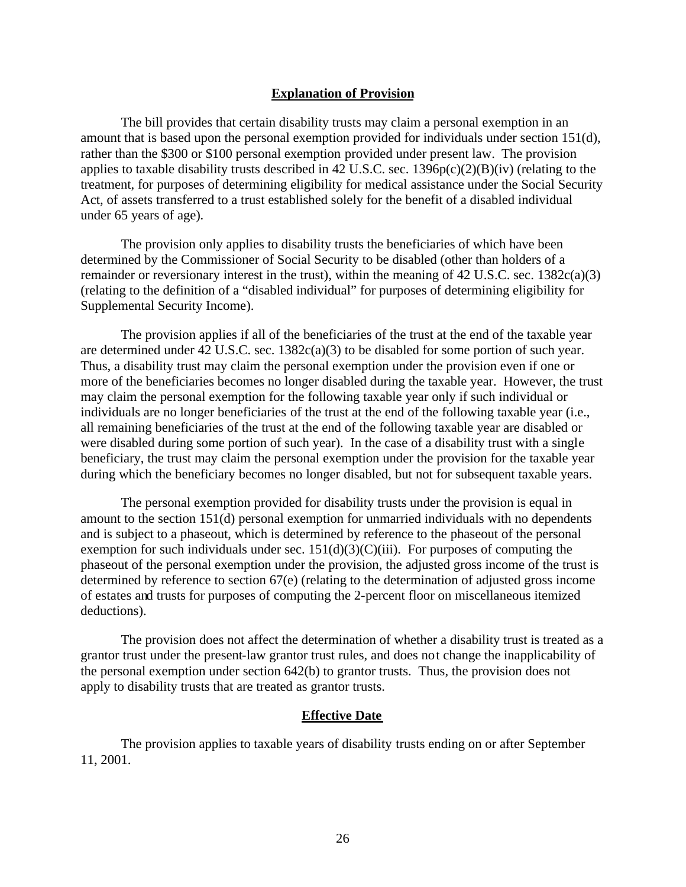#### **Explanation of Provision**

The bill provides that certain disability trusts may claim a personal exemption in an amount that is based upon the personal exemption provided for individuals under section 151(d), rather than the \$300 or \$100 personal exemption provided under present law. The provision applies to taxable disability trusts described in 42 U.S.C. sec.  $1396p(c)(2)(B)(iv)$  (relating to the treatment, for purposes of determining eligibility for medical assistance under the Social Security Act, of assets transferred to a trust established solely for the benefit of a disabled individual under 65 years of age).

The provision only applies to disability trusts the beneficiaries of which have been determined by the Commissioner of Social Security to be disabled (other than holders of a remainder or reversionary interest in the trust), within the meaning of 42 U.S.C. sec. 1382c(a)(3) (relating to the definition of a "disabled individual" for purposes of determining eligibility for Supplemental Security Income).

The provision applies if all of the beneficiaries of the trust at the end of the taxable year are determined under 42 U.S.C. sec. 1382c(a)(3) to be disabled for some portion of such year. Thus, a disability trust may claim the personal exemption under the provision even if one or more of the beneficiaries becomes no longer disabled during the taxable year. However, the trust may claim the personal exemption for the following taxable year only if such individual or individuals are no longer beneficiaries of the trust at the end of the following taxable year (i.e., all remaining beneficiaries of the trust at the end of the following taxable year are disabled or were disabled during some portion of such year). In the case of a disability trust with a single beneficiary, the trust may claim the personal exemption under the provision for the taxable year during which the beneficiary becomes no longer disabled, but not for subsequent taxable years.

The personal exemption provided for disability trusts under the provision is equal in amount to the section 151(d) personal exemption for unmarried individuals with no dependents and is subject to a phaseout, which is determined by reference to the phaseout of the personal exemption for such individuals under sec.  $151(d)(3)(C)(iii)$ . For purposes of computing the phaseout of the personal exemption under the provision, the adjusted gross income of the trust is determined by reference to section 67(e) (relating to the determination of adjusted gross income of estates and trusts for purposes of computing the 2-percent floor on miscellaneous itemized deductions).

The provision does not affect the determination of whether a disability trust is treated as a grantor trust under the present-law grantor trust rules, and does not change the inapplicability of the personal exemption under section 642(b) to grantor trusts. Thus, the provision does not apply to disability trusts that are treated as grantor trusts.

#### **Effective Date**

The provision applies to taxable years of disability trusts ending on or after September 11, 2001.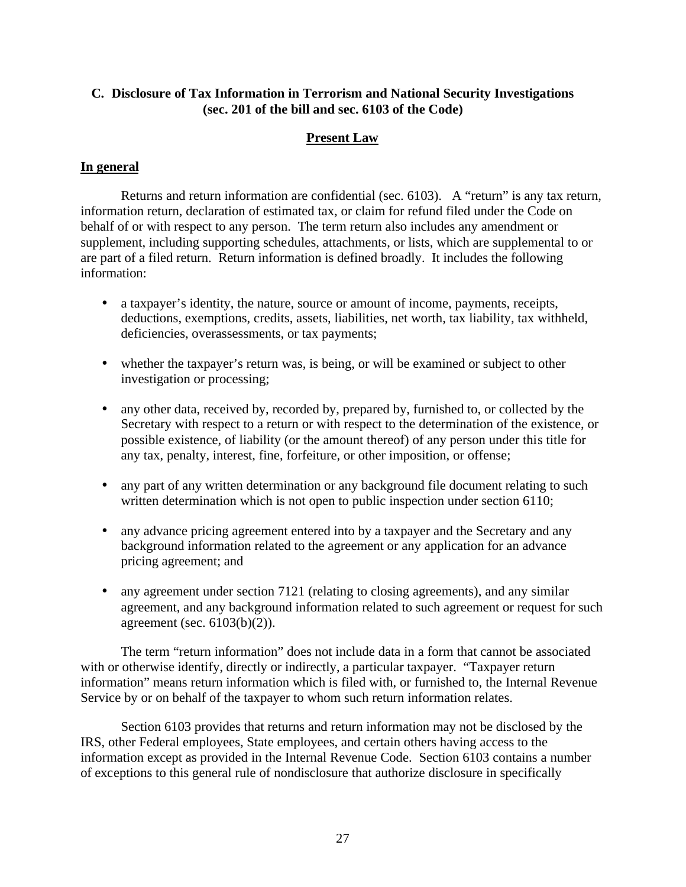## **C. Disclosure of Tax Information in Terrorism and National Security Investigations (sec. 201 of the bill and sec. 6103 of the Code)**

# **Present Law**

## **In general**

Returns and return information are confidential (sec. 6103). A "return" is any tax return, information return, declaration of estimated tax, or claim for refund filed under the Code on behalf of or with respect to any person. The term return also includes any amendment or supplement, including supporting schedules, attachments, or lists, which are supplemental to or are part of a filed return. Return information is defined broadly. It includes the following information:

- a taxpayer's identity, the nature, source or amount of income, payments, receipts, deductions, exemptions, credits, assets, liabilities, net worth, tax liability, tax withheld, deficiencies, overassessments, or tax payments;
- whether the taxpayer's return was, is being, or will be examined or subject to other investigation or processing;
- any other data, received by, recorded by, prepared by, furnished to, or collected by the Secretary with respect to a return or with respect to the determination of the existence, or possible existence, of liability (or the amount thereof) of any person under this title for any tax, penalty, interest, fine, forfeiture, or other imposition, or offense;
- any part of any written determination or any background file document relating to such written determination which is not open to public inspection under section 6110;
- any advance pricing agreement entered into by a taxpayer and the Secretary and any background information related to the agreement or any application for an advance pricing agreement; and
- any agreement under section 7121 (relating to closing agreements), and any similar agreement, and any background information related to such agreement or request for such agreement (sec.  $6103(b)(2)$ ).

The term "return information" does not include data in a form that cannot be associated with or otherwise identify, directly or indirectly, a particular taxpayer. "Taxpayer return information" means return information which is filed with, or furnished to, the Internal Revenue Service by or on behalf of the taxpayer to whom such return information relates.

Section 6103 provides that returns and return information may not be disclosed by the IRS, other Federal employees, State employees, and certain others having access to the information except as provided in the Internal Revenue Code. Section 6103 contains a number of exceptions to this general rule of nondisclosure that authorize disclosure in specifically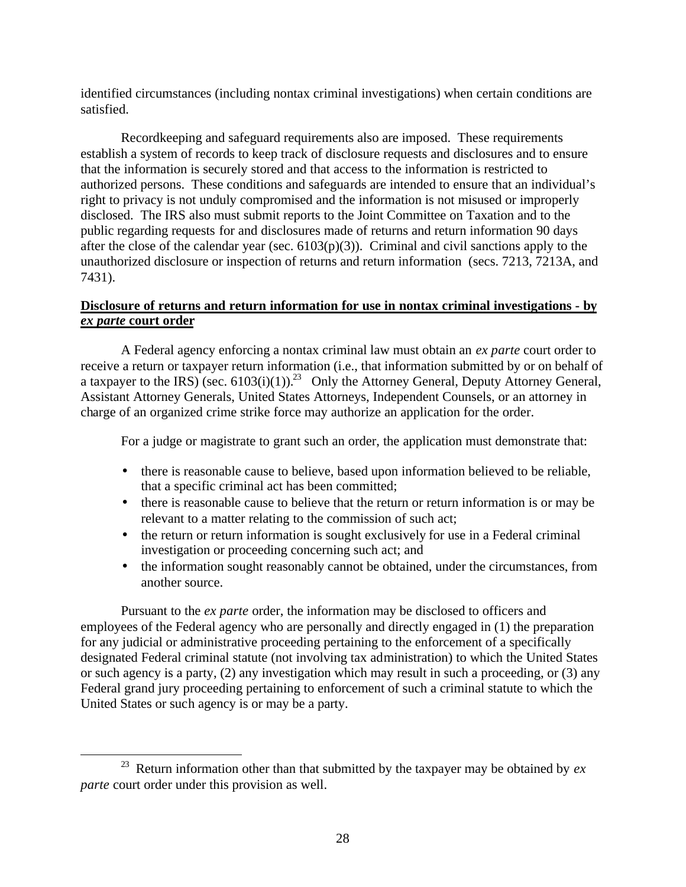identified circumstances (including nontax criminal investigations) when certain conditions are satisfied.

Recordkeeping and safeguard requirements also are imposed. These requirements establish a system of records to keep track of disclosure requests and disclosures and to ensure that the information is securely stored and that access to the information is restricted to authorized persons. These conditions and safeguards are intended to ensure that an individual's right to privacy is not unduly compromised and the information is not misused or improperly disclosed. The IRS also must submit reports to the Joint Committee on Taxation and to the public regarding requests for and disclosures made of returns and return information 90 days after the close of the calendar year (sec.  $6103(p)(3)$ ). Criminal and civil sanctions apply to the unauthorized disclosure or inspection of returns and return information (secs. 7213, 7213A, and 7431).

## **Disclosure of returns and return information for use in nontax criminal investigations - by**  *ex parte* **court order**

A Federal agency enforcing a nontax criminal law must obtain an *ex parte* court order to receive a return or taxpayer return information (i.e., that information submitted by or on behalf of a taxpayer to the IRS) (sec. 6103(i)(1)).<sup>23</sup> Only the Attorney General, Deputy Attorney General, Assistant Attorney Generals, United States Attorneys, Independent Counsels, or an attorney in charge of an organized crime strike force may authorize an application for the order.

For a judge or magistrate to grant such an order, the application must demonstrate that:

- there is reasonable cause to believe, based upon information believed to be reliable. that a specific criminal act has been committed;
- there is reasonable cause to believe that the return or return information is or may be relevant to a matter relating to the commission of such act;
- the return or return information is sought exclusively for use in a Federal criminal investigation or proceeding concerning such act; and
- the information sought reasonably cannot be obtained, under the circumstances, from another source.

Pursuant to the *ex parte* order, the information may be disclosed to officers and employees of the Federal agency who are personally and directly engaged in (1) the preparation for any judicial or administrative proceeding pertaining to the enforcement of a specifically designated Federal criminal statute (not involving tax administration) to which the United States or such agency is a party, (2) any investigation which may result in such a proceeding, or (3) any Federal grand jury proceeding pertaining to enforcement of such a criminal statute to which the United States or such agency is or may be a party.

1

<sup>&</sup>lt;sup>23</sup> Return information other than that submitted by the taxpayer may be obtained by  $ex$ *parte* court order under this provision as well.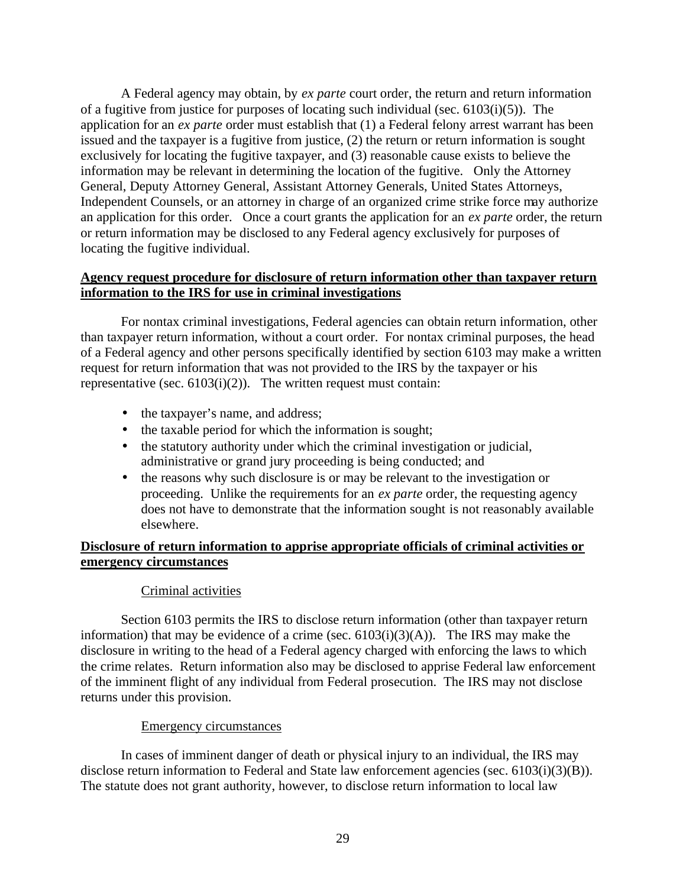A Federal agency may obtain, by *ex parte* court order, the return and return information of a fugitive from justice for purposes of locating such individual (sec. 6103(i)(5)). The application for an *ex parte* order must establish that (1) a Federal felony arrest warrant has been issued and the taxpayer is a fugitive from justice, (2) the return or return information is sought exclusively for locating the fugitive taxpayer, and (3) reasonable cause exists to believe the information may be relevant in determining the location of the fugitive. Only the Attorney General, Deputy Attorney General, Assistant Attorney Generals, United States Attorneys, Independent Counsels, or an attorney in charge of an organized crime strike force may authorize an application for this order. Once a court grants the application for an *ex parte* order, the return or return information may be disclosed to any Federal agency exclusively for purposes of locating the fugitive individual.

## **Agency request procedure for disclosure of return information other than taxpayer return information to the IRS for use in criminal investigations**

For nontax criminal investigations, Federal agencies can obtain return information, other than taxpayer return information, without a court order. For nontax criminal purposes, the head of a Federal agency and other persons specifically identified by section 6103 may make a written request for return information that was not provided to the IRS by the taxpayer or his representative (sec.  $6103(i)(2)$ ). The written request must contain:

- the taxpayer's name, and address;
- the taxable period for which the information is sought;
- the statutory authority under which the criminal investigation or judicial, administrative or grand jury proceeding is being conducted; and
- the reasons why such disclosure is or may be relevant to the investigation or proceeding. Unlike the requirements for an *ex parte* order, the requesting agency does not have to demonstrate that the information sought is not reasonably available elsewhere.

## **Disclosure of return information to apprise appropriate officials of criminal activities or emergency circumstances**

## Criminal activities

Section 6103 permits the IRS to disclose return information (other than taxpayer return information) that may be evidence of a crime (sec.  $6103(i)(3)(A)$ ). The IRS may make the disclosure in writing to the head of a Federal agency charged with enforcing the laws to which the crime relates. Return information also may be disclosed to apprise Federal law enforcement of the imminent flight of any individual from Federal prosecution. The IRS may not disclose returns under this provision.

## Emergency circumstances

In cases of imminent danger of death or physical injury to an individual, the IRS may disclose return information to Federal and State law enforcement agencies (sec. 6103(i)(3)(B)). The statute does not grant authority, however, to disclose return information to local law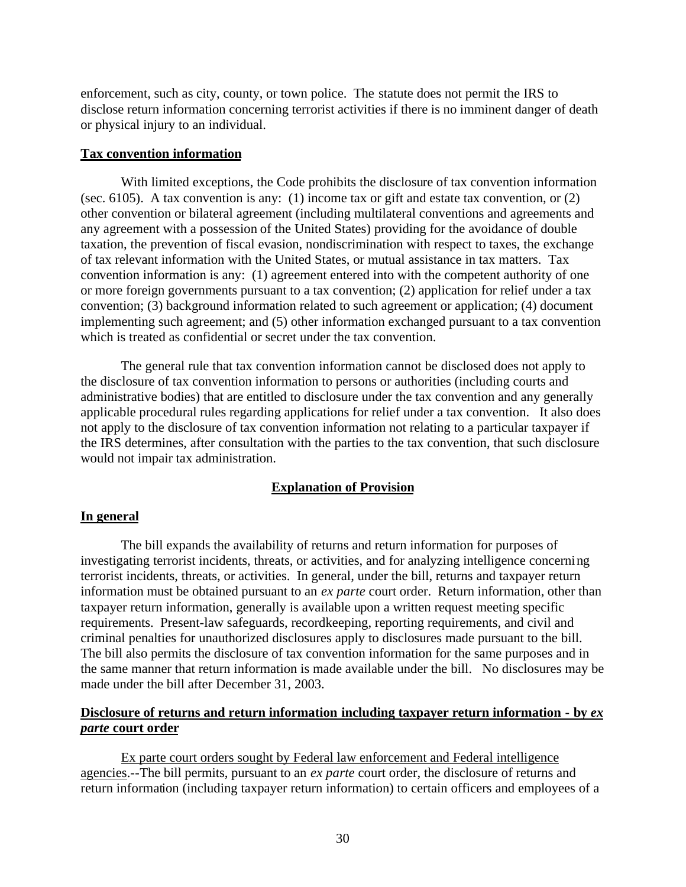enforcement, such as city, county, or town police. The statute does not permit the IRS to disclose return information concerning terrorist activities if there is no imminent danger of death or physical injury to an individual.

### **Tax convention information**

With limited exceptions, the Code prohibits the disclosure of tax convention information (sec. 6105). A tax convention is any: (1) income tax or gift and estate tax convention, or (2) other convention or bilateral agreement (including multilateral conventions and agreements and any agreement with a possession of the United States) providing for the avoidance of double taxation, the prevention of fiscal evasion, nondiscrimination with respect to taxes, the exchange of tax relevant information with the United States, or mutual assistance in tax matters. Tax convention information is any: (1) agreement entered into with the competent authority of one or more foreign governments pursuant to a tax convention; (2) application for relief under a tax convention; (3) background information related to such agreement or application; (4) document implementing such agreement; and (5) other information exchanged pursuant to a tax convention which is treated as confidential or secret under the tax convention.

The general rule that tax convention information cannot be disclosed does not apply to the disclosure of tax convention information to persons or authorities (including courts and administrative bodies) that are entitled to disclosure under the tax convention and any generally applicable procedural rules regarding applications for relief under a tax convention. It also does not apply to the disclosure of tax convention information not relating to a particular taxpayer if the IRS determines, after consultation with the parties to the tax convention, that such disclosure would not impair tax administration.

### **Explanation of Provision**

#### **In general**

The bill expands the availability of returns and return information for purposes of investigating terrorist incidents, threats, or activities, and for analyzing intelligence concerning terrorist incidents, threats, or activities. In general, under the bill, returns and taxpayer return information must be obtained pursuant to an *ex parte* court order. Return information, other than taxpayer return information, generally is available upon a written request meeting specific requirements. Present-law safeguards, recordkeeping, reporting requirements, and civil and criminal penalties for unauthorized disclosures apply to disclosures made pursuant to the bill. The bill also permits the disclosure of tax convention information for the same purposes and in the same manner that return information is made available under the bill. No disclosures may be made under the bill after December 31, 2003.

### **Disclosure of returns and return information including taxpayer return information - by** *ex parte* **court order**

Ex parte court orders sought by Federal law enforcement and Federal intelligence agencies.--The bill permits, pursuant to an *ex parte* court order, the disclosure of returns and return information (including taxpayer return information) to certain officers and employees of a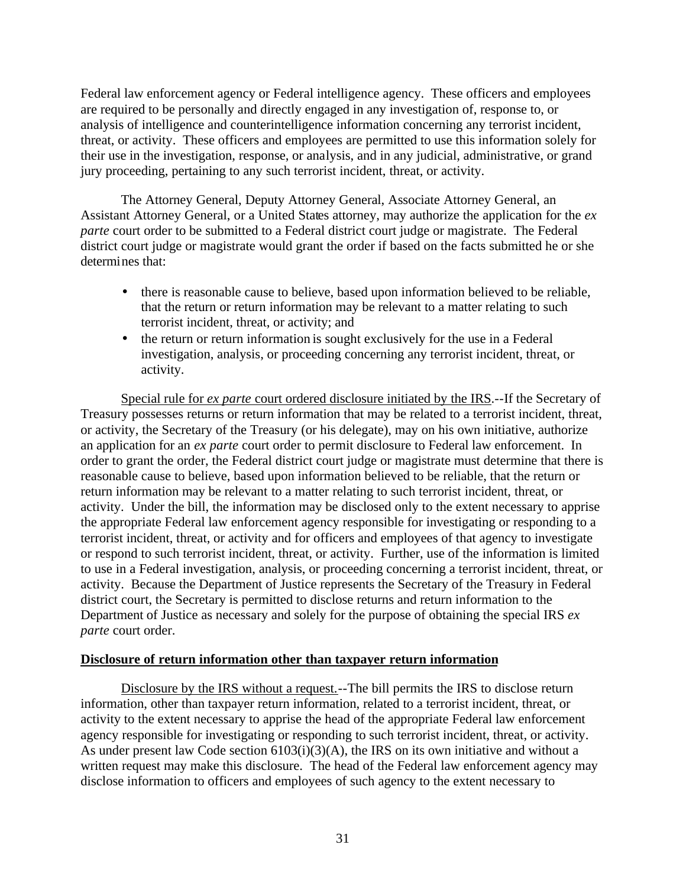Federal law enforcement agency or Federal intelligence agency. These officers and employees are required to be personally and directly engaged in any investigation of, response to, or analysis of intelligence and counterintelligence information concerning any terrorist incident, threat, or activity. These officers and employees are permitted to use this information solely for their use in the investigation, response, or analysis, and in any judicial, administrative, or grand jury proceeding, pertaining to any such terrorist incident, threat, or activity.

The Attorney General, Deputy Attorney General, Associate Attorney General, an Assistant Attorney General, or a United States attorney, may authorize the application for the *ex parte* court order to be submitted to a Federal district court judge or magistrate. The Federal district court judge or magistrate would grant the order if based on the facts submitted he or she determines that:

- there is reasonable cause to believe, based upon information believed to be reliable, that the return or return information may be relevant to a matter relating to such terrorist incident, threat, or activity; and
- the return or return information is sought exclusively for the use in a Federal investigation, analysis, or proceeding concerning any terrorist incident, threat, or activity.

Special rule for *ex parte* court ordered disclosure initiated by the IRS.--If the Secretary of Treasury possesses returns or return information that may be related to a terrorist incident, threat, or activity, the Secretary of the Treasury (or his delegate), may on his own initiative, authorize an application for an *ex parte* court order to permit disclosure to Federal law enforcement. In order to grant the order, the Federal district court judge or magistrate must determine that there is reasonable cause to believe, based upon information believed to be reliable, that the return or return information may be relevant to a matter relating to such terrorist incident, threat, or activity. Under the bill, the information may be disclosed only to the extent necessary to apprise the appropriate Federal law enforcement agency responsible for investigating or responding to a terrorist incident, threat, or activity and for officers and employees of that agency to investigate or respond to such terrorist incident, threat, or activity. Further, use of the information is limited to use in a Federal investigation, analysis, or proceeding concerning a terrorist incident, threat, or activity. Because the Department of Justice represents the Secretary of the Treasury in Federal district court, the Secretary is permitted to disclose returns and return information to the Department of Justice as necessary and solely for the purpose of obtaining the special IRS *ex parte* court order.

## **Disclosure of return information other than taxpayer return information**

Disclosure by the IRS without a request.--The bill permits the IRS to disclose return information, other than taxpayer return information, related to a terrorist incident, threat, or activity to the extent necessary to apprise the head of the appropriate Federal law enforcement agency responsible for investigating or responding to such terrorist incident, threat, or activity. As under present law Code section 6103(i)(3)(A), the IRS on its own initiative and without a written request may make this disclosure. The head of the Federal law enforcement agency may disclose information to officers and employees of such agency to the extent necessary to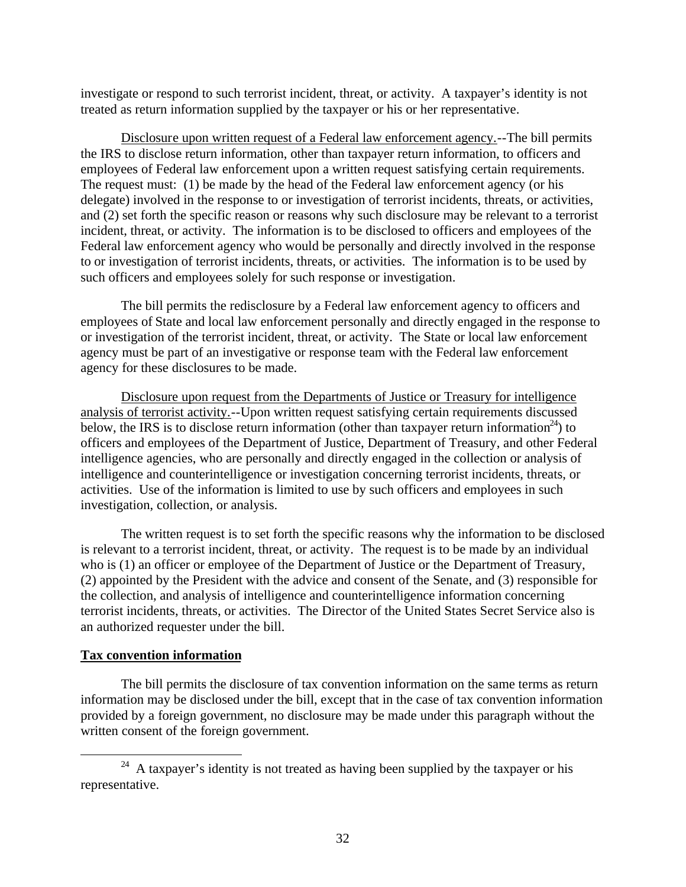investigate or respond to such terrorist incident, threat, or activity. A taxpayer's identity is not treated as return information supplied by the taxpayer or his or her representative.

Disclosure upon written request of a Federal law enforcement agency.--The bill permits the IRS to disclose return information, other than taxpayer return information, to officers and employees of Federal law enforcement upon a written request satisfying certain requirements. The request must: (1) be made by the head of the Federal law enforcement agency (or his delegate) involved in the response to or investigation of terrorist incidents, threats, or activities, and (2) set forth the specific reason or reasons why such disclosure may be relevant to a terrorist incident, threat, or activity. The information is to be disclosed to officers and employees of the Federal law enforcement agency who would be personally and directly involved in the response to or investigation of terrorist incidents, threats, or activities. The information is to be used by such officers and employees solely for such response or investigation.

The bill permits the redisclosure by a Federal law enforcement agency to officers and employees of State and local law enforcement personally and directly engaged in the response to or investigation of the terrorist incident, threat, or activity. The State or local law enforcement agency must be part of an investigative or response team with the Federal law enforcement agency for these disclosures to be made.

Disclosure upon request from the Departments of Justice or Treasury for intelligence analysis of terrorist activity.--Upon written request satisfying certain requirements discussed below, the IRS is to disclose return information (other than taxpayer return information<sup>24</sup>) to officers and employees of the Department of Justice, Department of Treasury, and other Federal intelligence agencies, who are personally and directly engaged in the collection or analysis of intelligence and counterintelligence or investigation concerning terrorist incidents, threats, or activities. Use of the information is limited to use by such officers and employees in such investigation, collection, or analysis.

The written request is to set forth the specific reasons why the information to be disclosed is relevant to a terrorist incident, threat, or activity. The request is to be made by an individual who is (1) an officer or employee of the Department of Justice or the Department of Treasury, (2) appointed by the President with the advice and consent of the Senate, and (3) responsible for the collection, and analysis of intelligence and counterintelligence information concerning terrorist incidents, threats, or activities. The Director of the United States Secret Service also is an authorized requester under the bill.

## **Tax convention information**

 $\overline{a}$ 

The bill permits the disclosure of tax convention information on the same terms as return information may be disclosed under the bill, except that in the case of tax convention information provided by a foreign government, no disclosure may be made under this paragraph without the written consent of the foreign government.

 $24$  A taxpayer's identity is not treated as having been supplied by the taxpayer or his representative.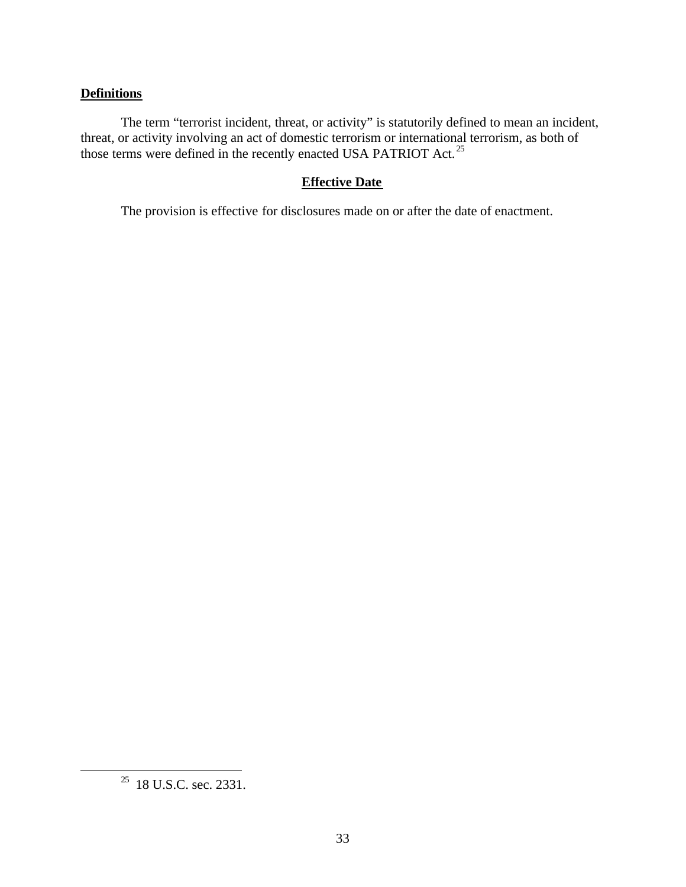# **Definitions**

The term "terrorist incident, threat, or activity" is statutorily defined to mean an incident, threat, or activity involving an act of domestic terrorism or international terrorism, as both of those terms were defined in the recently enacted USA PATRIOT Act.<sup>25</sup>

# **Effective Date**

The provision is effective for disclosures made on or after the date of enactment.

 $25$  18 U.S.C. sec. 2331.